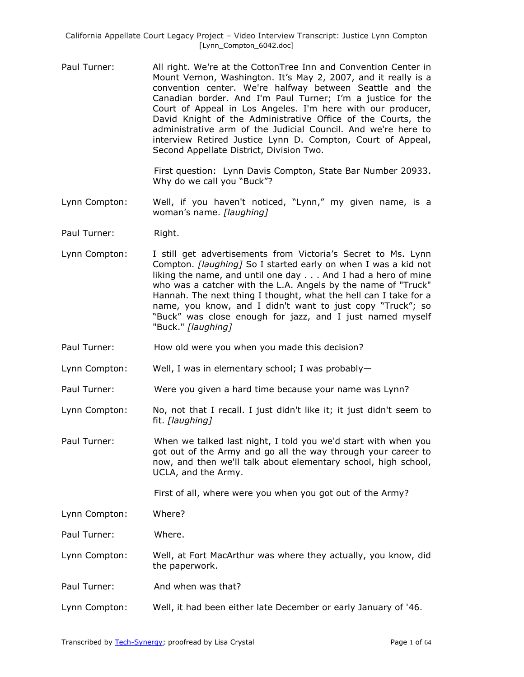Paul Turner: All right. We're at the CottonTree Inn and Convention Center in Mount Vernon, Washington. It's May 2, 2007, and it really is a convention center. We're halfway between Seattle and the Canadian border. And I'm Paul Turner; I'm a justice for the Court of Appeal in Los Angeles. I'm here with our producer, David Knight of the Administrative Office of the Courts, the administrative arm of the Judicial Council. And we're here to interview Retired Justice Lynn D. Compton, Court of Appeal, Second Appellate District, Division Two.

> First question: Lynn Davis Compton, State Bar Number 20933. Why do we call you "Buck"?

- Lynn Compton: Well, if you haven't noticed, "Lynn," my given name, is a woman's name. *[laughing]*
- Paul Turner: Right.
- Lynn Compton: I still get advertisements from Victoria's Secret to Ms. Lynn Compton. *[laughing]* So I started early on when I was a kid not liking the name, and until one day . . . And I had a hero of mine who was a catcher with the L.A. Angels by the name of "Truck" Hannah. The next thing I thought, what the hell can I take for a name, you know, and I didn't want to just copy "Truck"; so "Buck" was close enough for jazz, and I just named myself "Buck." *[laughing]*
- Paul Turner: How old were you when you made this decision?
- Lynn Compton: Well, I was in elementary school; I was probably—
- Paul Turner: Were you given a hard time because your name was Lynn?
- Lynn Compton: No, not that I recall. I just didn't like it; it just didn't seem to fit. *[laughing]*
- Paul Turner: When we talked last night, I told you we'd start with when you got out of the Army and go all the way through your career to now, and then we'll talk about elementary school, high school, UCLA, and the Army.

First of all, where were you when you got out of the Army?

Lynn Compton: Where?

Paul Turner: Where.

- Lynn Compton: Well, at Fort MacArthur was where they actually, you know, did the paperwork.
- Paul Turner: And when was that?
- Lynn Compton: Well, it had been either late December or early January of '46.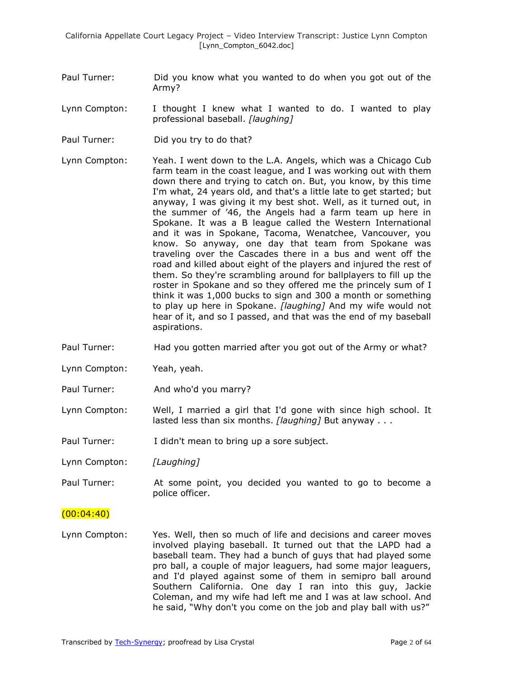- Paul Turner: Did you know what you wanted to do when you got out of the Army?
- Lynn Compton: I thought I knew what I wanted to do. I wanted to play professional baseball. *[laughing]*
- Paul Turner: Did you try to do that?
- Lynn Compton: Yeah. I went down to the L.A. Angels, which was a Chicago Cub farm team in the coast league, and I was working out with them down there and trying to catch on. But, you know, by this time I'm what, 24 years old, and that's a little late to get started; but anyway, I was giving it my best shot. Well, as it turned out, in the summer of '46, the Angels had a farm team up here in Spokane. It was a B league called the Western International and it was in Spokane, Tacoma, Wenatchee, Vancouver, you know. So anyway, one day that team from Spokane was traveling over the Cascades there in a bus and went off the road and killed about eight of the players and injured the rest of them. So they're scrambling around for ballplayers to fill up the roster in Spokane and so they offered me the princely sum of I think it was 1,000 bucks to sign and 300 a month or something to play up here in Spokane. *[laughing]* And my wife would not hear of it, and so I passed, and that was the end of my baseball aspirations.
- Paul Turner: Had you gotten married after you got out of the Army or what?
- Lynn Compton: Yeah, yeah.
- Paul Turner: And who'd you marry?
- Lynn Compton: Well, I married a girl that I'd gone with since high school. It lasted less than six months. *[laughing]* But anyway . . .
- Paul Turner: I didn't mean to bring up a sore subject.

Lynn Compton: *[Laughing]*

Paul Turner: At some point, you decided you wanted to go to become a police officer.

#### $(00:04:40)$

Lynn Compton: Yes. Well, then so much of life and decisions and career moves involved playing baseball. It turned out that the LAPD had a baseball team. They had a bunch of guys that had played some pro ball, a couple of major leaguers, had some major leaguers, and I'd played against some of them in semipro ball around Southern California. One day I ran into this guy, Jackie Coleman, and my wife had left me and I was at law school. And he said, "Why don't you come on the job and play ball with us?"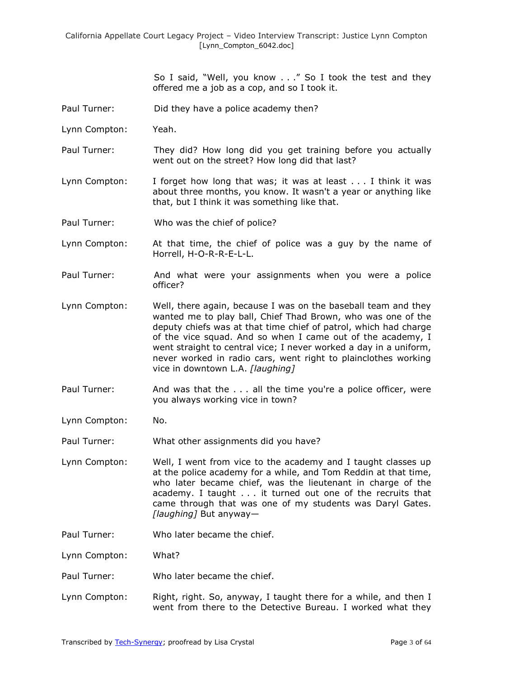So I said, "Well, you know  $\ldots$ ." So I took the test and they offered me a job as a cop, and so I took it.

- Paul Turner: Did they have a police academy then?
- Lynn Compton: Yeah.
- Paul Turner: They did? How long did you get training before you actually went out on the street? How long did that last?
- Lynn Compton: I forget how long that was; it was at least . . . I think it was about three months, you know. It wasn't a year or anything like that, but I think it was something like that.
- Paul Turner: Who was the chief of police?
- Lynn Compton: At that time, the chief of police was a guy by the name of Horrell, H-O-R-R-E-L-L.
- Paul Turner: And what were your assignments when you were a police officer?
- Lynn Compton: Well, there again, because I was on the baseball team and they wanted me to play ball, Chief Thad Brown, who was one of the deputy chiefs was at that time chief of patrol, which had charge of the vice squad. And so when I came out of the academy, I went straight to central vice; I never worked a day in a uniform, never worked in radio cars, went right to plainclothes working vice in downtown L.A. *[laughing]*
- Paul Turner: And was that the . . . all the time you're a police officer, were you always working vice in town?
- Lynn Compton: No.
- Paul Turner: What other assignments did you have?
- Lynn Compton: Well, I went from vice to the academy and I taught classes up at the police academy for a while, and Tom Reddin at that time, who later became chief, was the lieutenant in charge of the academy. I taught . . . it turned out one of the recruits that came through that was one of my students was Daryl Gates. *[laughing]* But anyway—
- Paul Turner: Who later became the chief.

Lynn Compton: What?

- Paul Turner: Who later became the chief.
- Lynn Compton: Right, right. So, anyway, I taught there for a while, and then I went from there to the Detective Bureau. I worked what they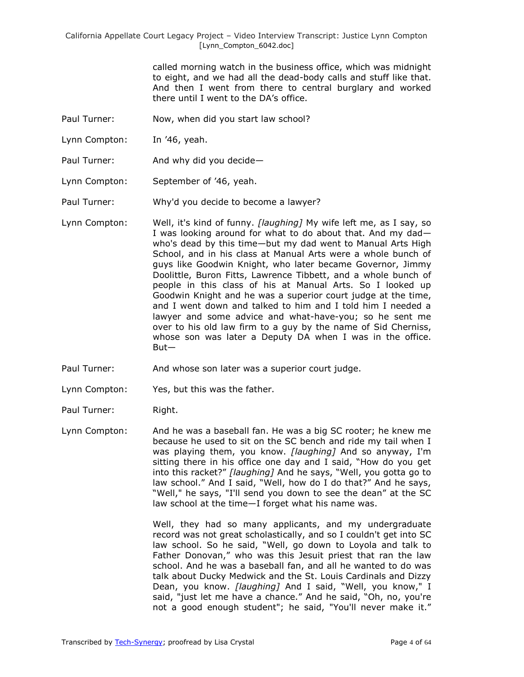> called morning watch in the business office, which was midnight to eight, and we had all the dead-body calls and stuff like that. And then I went from there to central burglary and worked there until I went to the DA's office.

- Paul Turner: Now, when did you start law school?
- Lynn Compton: In '46, yeah.
- Paul Turner: And why did you decide—
- Lynn Compton: September of '46, yeah.

Paul Turner: Why'd you decide to become a lawyer?

Lynn Compton: Well, it's kind of funny. *[laughing]* My wife left me, as I say, so I was looking around for what to do about that. And my dad who's dead by this time—but my dad went to Manual Arts High School, and in his class at Manual Arts were a whole bunch of guys like Goodwin Knight, who later became Governor, Jimmy Doolittle, Buron Fitts, Lawrence Tibbett, and a whole bunch of people in this class of his at Manual Arts. So I looked up Goodwin Knight and he was a superior court judge at the time, and I went down and talked to him and I told him I needed a lawyer and some advice and what-have-you; so he sent me over to his old law firm to a guy by the name of Sid Cherniss, whose son was later a Deputy DA when I was in the office. But—

Paul Turner: And whose son later was a superior court judge.

- Lynn Compton: Yes, but this was the father.
- Paul Turner: Right.
- Lynn Compton: And he was a baseball fan. He was a big SC rooter; he knew me because he used to sit on the SC bench and ride my tail when I was playing them, you know. *[laughing]* And so anyway, I'm sitting there in his office one day and I said, "How do you get into this racket?" *[laughing]* And he says, "Well, you gotta go to law school." And I said, "Well, how do I do that?" And he says, "Well," he says, "I'll send you down to see the dean" at the SC law school at the time—I forget what his name was.

Well, they had so many applicants, and my undergraduate record was not great scholastically, and so I couldn't get into SC law school. So he said, "Well, go down to Loyola and talk to Father Donovan," who was this Jesuit priest that ran the law school. And he was a baseball fan, and all he wanted to do was talk about Ducky Medwick and the St. Louis Cardinals and Dizzy Dean, you know. *[laughing]* And I said, "Well, you know," I said, "just let me have a chance." And he said, "Oh, no, you're not a good enough student"; he said, "You'll never make it."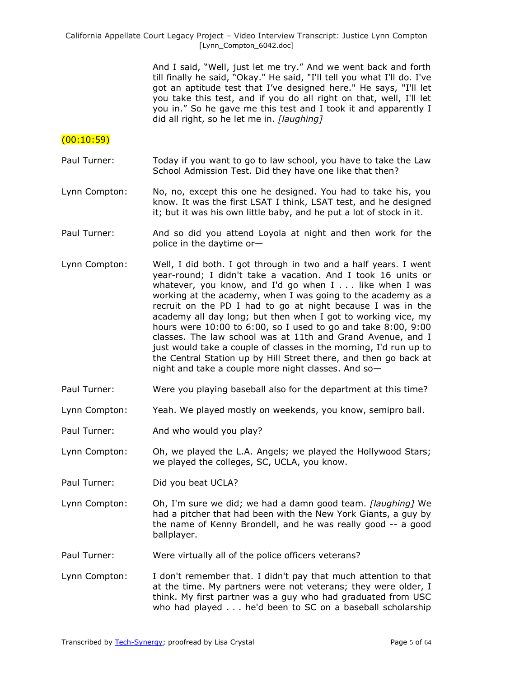> And I said, "Well, just let me try." And we went back and forth till finally he said, "Okay." He said, "I'll tell you what I'll do. I've got an aptitude test that I've designed here." He says, "I'll let you take this test, and if you do all right on that, well, I'll let you in." So he gave me this test and I took it and apparently I did all right, so he let me in. *[laughing]*

### (00:10:59)

- Paul Turner: Today if you want to go to law school, you have to take the Law School Admission Test. Did they have one like that then?
- Lynn Compton: No, no, except this one he designed. You had to take his, you know. It was the first LSAT I think, LSAT test, and he designed it; but it was his own little baby, and he put a lot of stock in it.
- Paul Turner: And so did you attend Loyola at night and then work for the police in the daytime or—
- Lynn Compton: Well, I did both. I got through in two and a half years. I went year-round; I didn't take a vacation. And I took 16 units or whatever, you know, and I'd go when I . . . like when I was working at the academy, when I was going to the academy as a recruit on the PD I had to go at night because I was in the academy all day long; but then when I got to working vice, my hours were 10:00 to 6:00, so I used to go and take 8:00, 9:00 classes. The law school was at 11th and Grand Avenue, and I just would take a couple of classes in the morning, I'd run up to the Central Station up by Hill Street there, and then go back at night and take a couple more night classes. And so—
- Paul Turner: Were you playing baseball also for the department at this time?
- Lynn Compton: Yeah. We played mostly on weekends, you know, semipro ball.
- Paul Turner: And who would you play?
- Lynn Compton: Oh, we played the L.A. Angels; we played the Hollywood Stars; we played the colleges, SC, UCLA, you know.
- Paul Turner: Did you beat UCLA?
- Lynn Compton: Oh, I'm sure we did; we had a damn good team. *[laughing]* We had a pitcher that had been with the New York Giants, a guy by the name of Kenny Brondell, and he was really good -- a good ballplayer.
- Paul Turner: Were virtually all of the police officers veterans?
- Lynn Compton: I don't remember that. I didn't pay that much attention to that at the time. My partners were not veterans; they were older, I think. My first partner was a guy who had graduated from USC who had played . . . he'd been to SC on a baseball scholarship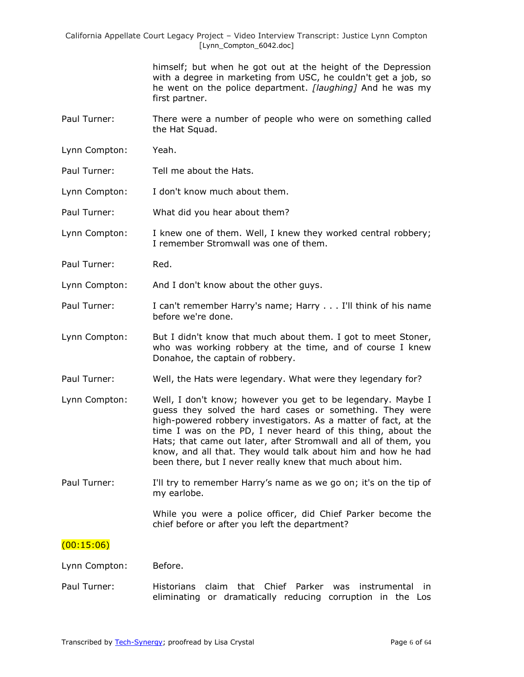> himself; but when he got out at the height of the Depression with a degree in marketing from USC, he couldn't get a job, so he went on the police department. *[laughing]* And he was my first partner.

- Paul Turner: There were a number of people who were on something called the Hat Squad.
- Lynn Compton: Yeah.
- Paul Turner: Tell me about the Hats.
- Lynn Compton: I don't know much about them.
- Paul Turner: What did you hear about them?
- Lynn Compton: I knew one of them. Well, I knew they worked central robbery; I remember Stromwall was one of them.
- Paul Turner: Red.
- Lynn Compton: And I don't know about the other guys.
- Paul Turner: I can't remember Harry's name; Harry . . . I'll think of his name before we're done.
- Lynn Compton: But I didn't know that much about them. I got to meet Stoner, who was working robbery at the time, and of course I knew Donahoe, the captain of robbery.
- Paul Turner: Well, the Hats were legendary. What were they legendary for?
- Lynn Compton: Well, I don't know; however you get to be legendary. Maybe I guess they solved the hard cases or something. They were high-powered robbery investigators. As a matter of fact, at the time I was on the PD, I never heard of this thing, about the Hats; that came out later, after Stromwall and all of them, you know, and all that. They would talk about him and how he had been there, but I never really knew that much about him.
- Paul Turner: I'll try to remember Harry's name as we go on; it's on the tip of my earlobe.

While you were a police officer, did Chief Parker become the chief before or after you left the department?

## $(00:15:06)$

#### Lynn Compton: Before.

Paul Turner: Historians claim that Chief Parker was instrumental in eliminating or dramatically reducing corruption in the Los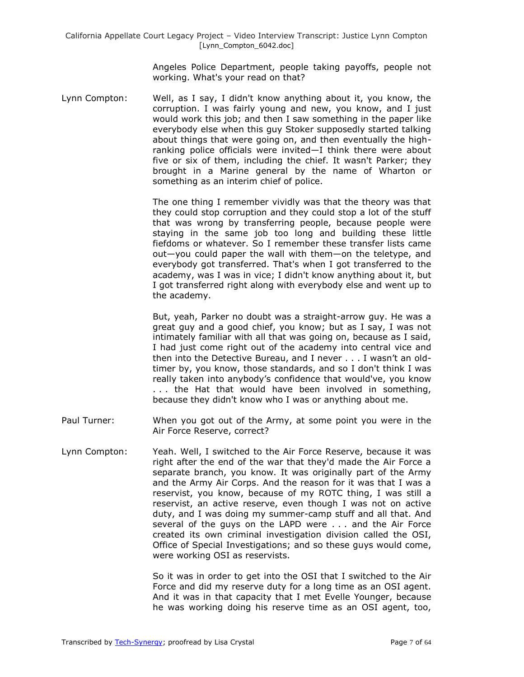Angeles Police Department, people taking payoffs, people not working. What's your read on that?

Lynn Compton: Well, as I say, I didn't know anything about it, you know, the corruption. I was fairly young and new, you know, and I just would work this job; and then I saw something in the paper like everybody else when this guy Stoker supposedly started talking about things that were going on, and then eventually the highranking police officials were invited—I think there were about five or six of them, including the chief. It wasn't Parker; they brought in a Marine general by the name of Wharton or something as an interim chief of police.

> The one thing I remember vividly was that the theory was that they could stop corruption and they could stop a lot of the stuff that was wrong by transferring people, because people were staying in the same job too long and building these little fiefdoms or whatever. So I remember these transfer lists came out—you could paper the wall with them—on the teletype, and everybody got transferred. That's when I got transferred to the academy, was I was in vice; I didn't know anything about it, but I got transferred right along with everybody else and went up to the academy.

> But, yeah, Parker no doubt was a straight-arrow guy. He was a great guy and a good chief, you know; but as I say, I was not intimately familiar with all that was going on, because as I said, I had just come right out of the academy into central vice and then into the Detective Bureau, and I never . . . I wasn't an oldtimer by, you know, those standards, and so I don't think I was really taken into anybody's confidence that would've, you know . . . the Hat that would have been involved in something, because they didn't know who I was or anything about me.

- Paul Turner: When you got out of the Army, at some point you were in the Air Force Reserve, correct?
- Lynn Compton: Yeah. Well, I switched to the Air Force Reserve, because it was right after the end of the war that they'd made the Air Force a separate branch, you know. It was originally part of the Army and the Army Air Corps. And the reason for it was that I was a reservist, you know, because of my ROTC thing, I was still a reservist, an active reserve, even though I was not on active duty, and I was doing my summer-camp stuff and all that. And several of the guys on the LAPD were . . . and the Air Force created its own criminal investigation division called the OSI, Office of Special Investigations; and so these guys would come, were working OSI as reservists.

So it was in order to get into the OSI that I switched to the Air Force and did my reserve duty for a long time as an OSI agent. And it was in that capacity that I met Evelle Younger, because he was working doing his reserve time as an OSI agent, too,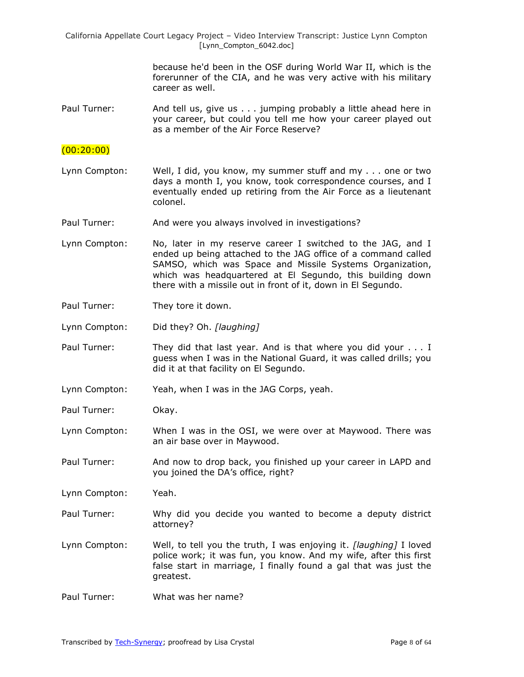> because he'd been in the OSF during World War II, which is the forerunner of the CIA, and he was very active with his military career as well.

Paul Turner: And tell us, give us . . . jumping probably a little ahead here in your career, but could you tell me how your career played out as a member of the Air Force Reserve?

## $(00:20:00)$

- Lynn Compton: Well, I did, you know, my summer stuff and my . . . one or two days a month I, you know, took correspondence courses, and I eventually ended up retiring from the Air Force as a lieutenant colonel.
- Paul Turner: And were you always involved in investigations?
- Lynn Compton: No, later in my reserve career I switched to the JAG, and I ended up being attached to the JAG office of a command called SAMSO, which was Space and Missile Systems Organization, which was headquartered at El Segundo, this building down there with a missile out in front of it, down in El Segundo.
- Paul Turner: They tore it down.
- Lynn Compton: Did they? Oh. *[laughing]*
- Paul Turner: They did that last year. And is that where you did your . . . I guess when I was in the National Guard, it was called drills; you did it at that facility on El Segundo.
- Lynn Compton: Yeah, when I was in the JAG Corps, yeah.
- Paul Turner: Okay.
- Lynn Compton: When I was in the OSI, we were over at Maywood. There was an air base over in Maywood.
- Paul Turner: And now to drop back, you finished up your career in LAPD and you joined the DA's office, right?

Lynn Compton: Yeah.

- Paul Turner: Why did you decide you wanted to become a deputy district attorney?
- Lynn Compton: Well, to tell you the truth, I was enjoying it. *[laughing]* I loved police work; it was fun, you know. And my wife, after this first false start in marriage, I finally found a gal that was just the greatest.
- Paul Turner: What was her name?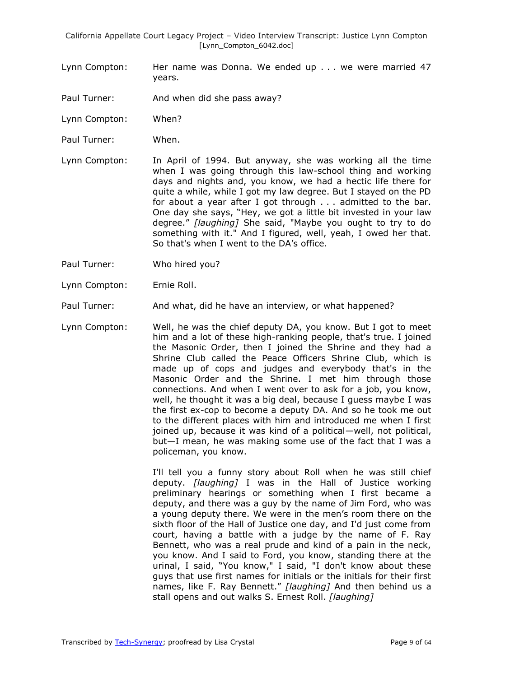- Lynn Compton: Her name was Donna. We ended up . . . we were married 47 years.
- Paul Turner: And when did she pass away?
- Lynn Compton: When?
- Paul Turner: When.

Lynn Compton: In April of 1994. But anyway, she was working all the time when I was going through this law-school thing and working days and nights and, you know, we had a hectic life there for quite a while, while I got my law degree. But I stayed on the PD for about a year after I got through . . . admitted to the bar. One day she says, "Hey, we got a little bit invested in your law degree.‖ *[laughing]* She said, "Maybe you ought to try to do something with it." And I figured, well, yeah, I owed her that. So that's when I went to the DA's office.

- Paul Turner: Who hired you?
- Lynn Compton: Ernie Roll.
- Paul Turner: And what, did he have an interview, or what happened?
- Lynn Compton: Well, he was the chief deputy DA, you know. But I got to meet him and a lot of these high-ranking people, that's true. I joined the Masonic Order, then I joined the Shrine and they had a Shrine Club called the Peace Officers Shrine Club, which is made up of cops and judges and everybody that's in the Masonic Order and the Shrine. I met him through those connections. And when I went over to ask for a job, you know, well, he thought it was a big deal, because I guess maybe I was the first ex-cop to become a deputy DA. And so he took me out to the different places with him and introduced me when I first joined up, because it was kind of a political—well, not political, but—I mean, he was making some use of the fact that I was a policeman, you know.

I'll tell you a funny story about Roll when he was still chief deputy. *[laughing]* I was in the Hall of Justice working preliminary hearings or something when I first became a deputy, and there was a guy by the name of Jim Ford, who was a young deputy there. We were in the men's room there on the sixth floor of the Hall of Justice one day, and I'd just come from court, having a battle with a judge by the name of F. Ray Bennett, who was a real prude and kind of a pain in the neck, you know. And I said to Ford, you know, standing there at the urinal, I said, "You know," I said, "I don't know about these guys that use first names for initials or the initials for their first names, like F. Ray Bennett." [laughing] And then behind us a stall opens and out walks S. Ernest Roll. *[laughing]*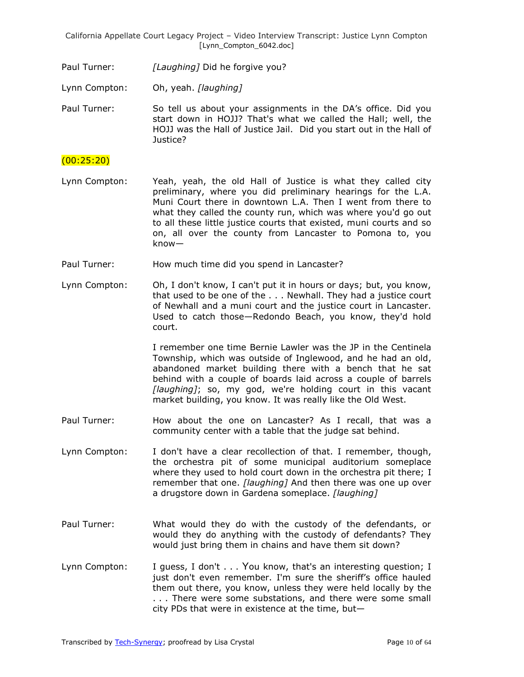Paul Turner: *[Laughing]* Did he forgive you?

Lynn Compton: Oh, yeah. *[laughing]*

Paul Turner: So tell us about your assignments in the DA's office. Did you start down in HOJJ? That's what we called the Hall; well, the HOJJ was the Hall of Justice Jail. Did you start out in the Hall of Justice?

### (00:25:20)

- Lynn Compton: Yeah, yeah, the old Hall of Justice is what they called city preliminary, where you did preliminary hearings for the L.A. Muni Court there in downtown L.A. Then I went from there to what they called the county run, which was where you'd go out to all these little justice courts that existed, muni courts and so on, all over the county from Lancaster to Pomona to, you know—
- Paul Turner: How much time did you spend in Lancaster?
- Lynn Compton: Oh, I don't know, I can't put it in hours or days; but, you know, that used to be one of the . . . Newhall. They had a justice court of Newhall and a muni court and the justice court in Lancaster. Used to catch those—Redondo Beach, you know, they'd hold court.

I remember one time Bernie Lawler was the JP in the Centinela Township, which was outside of Inglewood, and he had an old, abandoned market building there with a bench that he sat behind with a couple of boards laid across a couple of barrels *[laughing]*; so, my god, we're holding court in this vacant market building, you know. It was really like the Old West.

- Paul Turner: How about the one on Lancaster? As I recall, that was a community center with a table that the judge sat behind.
- Lynn Compton: I don't have a clear recollection of that. I remember, though, the orchestra pit of some municipal auditorium someplace where they used to hold court down in the orchestra pit there; I remember that one. *[laughing]* And then there was one up over a drugstore down in Gardena someplace. *[laughing]*
- Paul Turner: What would they do with the custody of the defendants, or would they do anything with the custody of defendants? They would just bring them in chains and have them sit down?
- Lynn Compton: I guess, I don't . . . You know, that's an interesting question; I just don't even remember. I'm sure the sheriff's office hauled them out there, you know, unless they were held locally by the . . . There were some substations, and there were some small city PDs that were in existence at the time, but—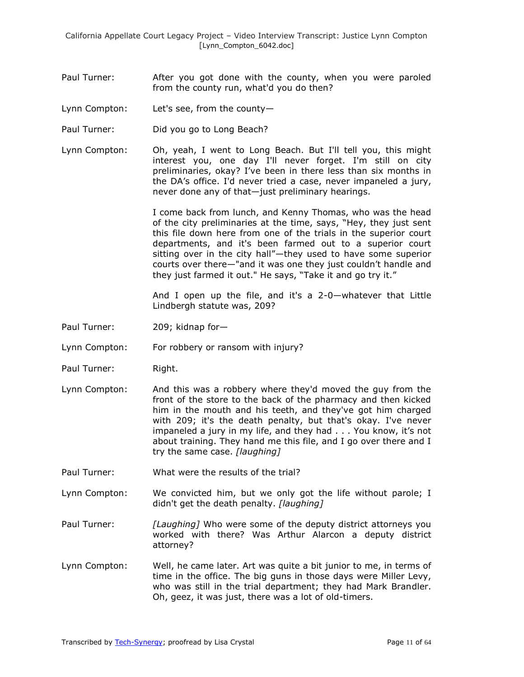- Paul Turner: After you got done with the county, when you were paroled from the county run, what'd you do then?
- Lynn Compton: Let's see, from the county—
- Paul Turner: Did you go to Long Beach?
- Lynn Compton: Oh, yeah, I went to Long Beach. But I'll tell you, this might interest you, one day I'll never forget. I'm still on city preliminaries, okay? I've been in there less than six months in the DA's office. I'd never tried a case, never impaneled a jury, never done any of that—just preliminary hearings.

I come back from lunch, and Kenny Thomas, who was the head of the city preliminaries at the time, says, "Hey, they just sent this file down here from one of the trials in the superior court departments, and it's been farmed out to a superior court sitting over in the city hall"-they used to have some superior courts over there—"and it was one they just couldn't handle and they just farmed it out." He says, "Take it and go try it."

And I open up the file, and it's a 2-0—whatever that Little Lindbergh statute was, 209?

- Paul Turner: 209; kidnap for-
- Lynn Compton: For robbery or ransom with injury?
- Paul Turner: Right.
- Lynn Compton: And this was a robbery where they'd moved the guy from the front of the store to the back of the pharmacy and then kicked him in the mouth and his teeth, and they've got him charged with 209; it's the death penalty, but that's okay. I've never impaneled a jury in my life, and they had . . . You know, it's not about training. They hand me this file, and I go over there and I try the same case. *[laughing]*
- Paul Turner: What were the results of the trial?
- Lynn Compton: We convicted him, but we only got the life without parole; I didn't get the death penalty. *[laughing]*
- Paul Turner: *[Laughing]* Who were some of the deputy district attorneys you worked with there? Was Arthur Alarcon a deputy district attorney?
- Lynn Compton: Well, he came later. Art was quite a bit junior to me, in terms of time in the office. The big guns in those days were Miller Levy, who was still in the trial department; they had Mark Brandler. Oh, geez, it was just, there was a lot of old-timers.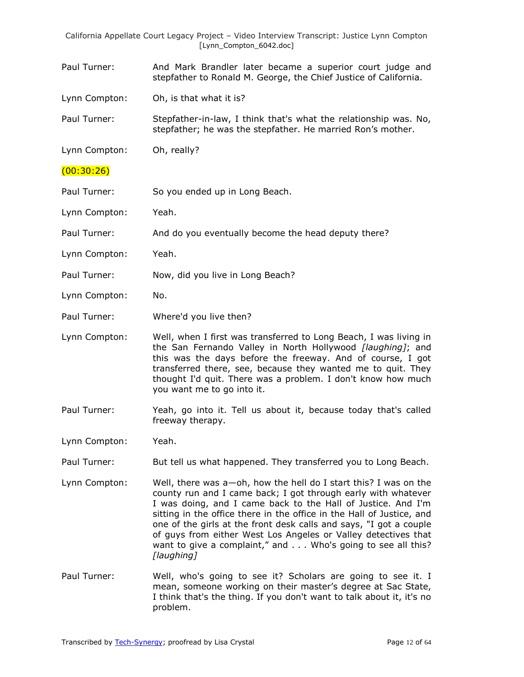- Paul Turner: And Mark Brandler later became a superior court judge and stepfather to Ronald M. George, the Chief Justice of California.
- Lynn Compton: Oh, is that what it is?
- Paul Turner: Stepfather-in-law, I think that's what the relationship was. No, stepfather; he was the stepfather. He married Ron's mother.
- Lynn Compton: Oh, really?
- (00:30:26)
- Paul Turner: So you ended up in Long Beach.
- Lynn Compton: Yeah.
- Paul Turner: And do you eventually become the head deputy there?
- Lynn Compton: Yeah.
- Paul Turner: Now, did you live in Long Beach?
- Lynn Compton: No.
- Paul Turner: Where'd you live then?
- Lynn Compton: Well, when I first was transferred to Long Beach, I was living in the San Fernando Valley in North Hollywood *[laughing]*; and this was the days before the freeway. And of course, I got transferred there, see, because they wanted me to quit. They thought I'd quit. There was a problem. I don't know how much you want me to go into it.
- Paul Turner: Yeah, go into it. Tell us about it, because today that's called freeway therapy.
- Lynn Compton: Yeah.
- Paul Turner: But tell us what happened. They transferred you to Long Beach.
- Lynn Compton: Well, there was a—oh, how the hell do I start this? I was on the county run and I came back; I got through early with whatever I was doing, and I came back to the Hall of Justice. And I'm sitting in the office there in the office in the Hall of Justice, and one of the girls at the front desk calls and says, "I got a couple of guys from either West Los Angeles or Valley detectives that want to give a complaint," and . . . Who's going to see all this? *[laughing]*
- Paul Turner: Well, who's going to see it? Scholars are going to see it. I mean, someone working on their master's degree at Sac State, I think that's the thing. If you don't want to talk about it, it's no problem.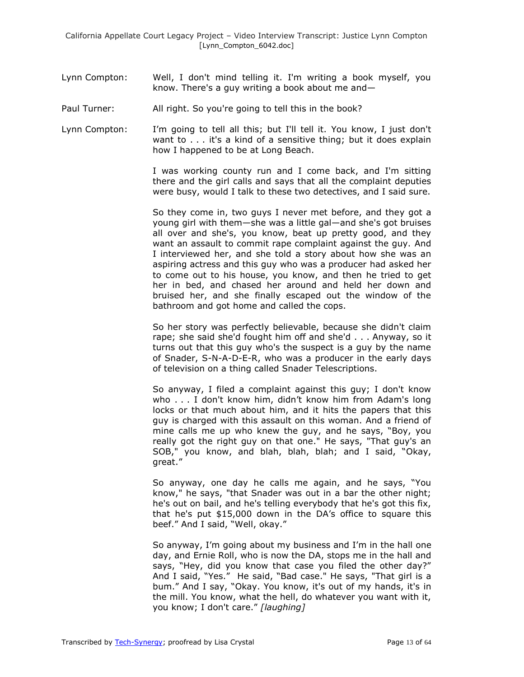- Lynn Compton: Well, I don't mind telling it. I'm writing a book myself, you know. There's a guy writing a book about me and—
- Paul Turner: All right. So you're going to tell this in the book?
- Lynn Compton: I'm going to tell all this; but I'll tell it. You know, I just don't want to . . . it's a kind of a sensitive thing; but it does explain how I happened to be at Long Beach.

I was working county run and I come back, and I'm sitting there and the girl calls and says that all the complaint deputies were busy, would I talk to these two detectives, and I said sure.

So they come in, two guys I never met before, and they got a young girl with them—she was a little gal—and she's got bruises all over and she's, you know, beat up pretty good, and they want an assault to commit rape complaint against the guy. And I interviewed her, and she told a story about how she was an aspiring actress and this guy who was a producer had asked her to come out to his house, you know, and then he tried to get her in bed, and chased her around and held her down and bruised her, and she finally escaped out the window of the bathroom and got home and called the cops.

So her story was perfectly believable, because she didn't claim rape; she said she'd fought him off and she'd . . . Anyway, so it turns out that this guy who's the suspect is a guy by the name of Snader, S-N-A-D-E-R, who was a producer in the early days of television on a thing called Snader Telescriptions.

So anyway, I filed a complaint against this guy; I don't know who . . . I don't know him, didn't know him from Adam's long locks or that much about him, and it hits the papers that this guy is charged with this assault on this woman. And a friend of mine calls me up who knew the guy, and he says, "Boy, you really got the right guy on that one." He says, "That guy's an SOB," you know, and blah, blah, blah; and I said, "Okay, great."

So anyway, one day he calls me again, and he says, "You know," he says, "that Snader was out in a bar the other night; he's out on bail, and he's telling everybody that he's got this fix, that he's put \$15,000 down in the DA's office to square this beef." And I said, "Well, okay."

So anyway, I'm going about my business and I'm in the hall one day, and Ernie Roll, who is now the DA, stops me in the hall and says, "Hey, did you know that case you filed the other day?" And I said, "Yes." He said, "Bad case." He says, "That girl is a bum." And I say, "Okay. You know, it's out of my hands, it's in the mill. You know, what the hell, do whatever you want with it, you know; I don't care." [laughing]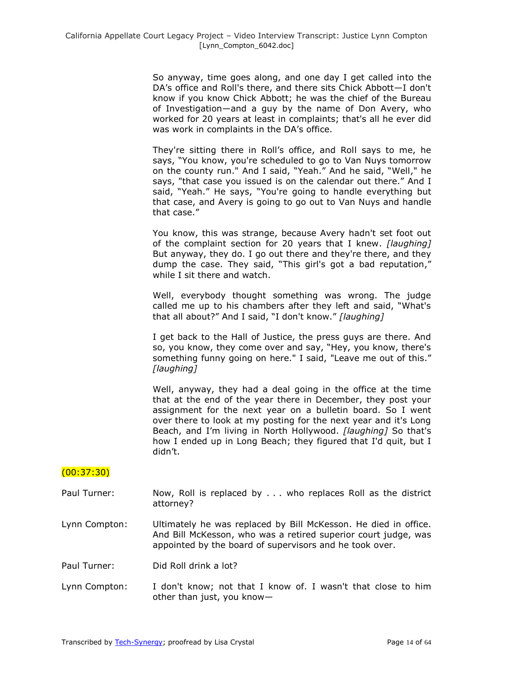So anyway, time goes along, and one day I get called into the DA's office and Roll's there, and there sits Chick Abbott—I don't know if you know Chick Abbott; he was the chief of the Bureau of Investigation—and a guy by the name of Don Avery, who worked for 20 years at least in complaints; that's all he ever did was work in complaints in the DA's office.

They're sitting there in Roll's office, and Roll says to me, he says, "You know, you're scheduled to go to Van Nuys tomorrow on the county run." And I said, "Yeah." And he said, "Well," he says, "that case you issued is on the calendar out there." And I said, "Yeah." He says, "You're going to handle everything but that case, and Avery is going to go out to Van Nuys and handle that case."

You know, this was strange, because Avery hadn't set foot out of the complaint section for 20 years that I knew. *[laughing]* But anyway, they do. I go out there and they're there, and they dump the case. They said, "This girl's got a bad reputation," while I sit there and watch.

Well, everybody thought something was wrong. The judge called me up to his chambers after they left and said, "What's that all about?" And I said, "I don't know." [laughing]

I get back to the Hall of Justice, the press guys are there. And so, you know, they come over and say, "Hey, you know, there's something funny going on here." I said, "Leave me out of this." *[laughing]*

Well, anyway, they had a deal going in the office at the time that at the end of the year there in December, they post your assignment for the next year on a bulletin board. So I went over there to look at my posting for the next year and it's Long Beach, and I'm living in North Hollywood. *[laughing]* So that's how I ended up in Long Beach; they figured that I'd quit, but I didn't.

(00:37:30)

- Paul Turner: Now, Roll is replaced by . . . who replaces Roll as the district attorney?
- Lynn Compton: Ultimately he was replaced by Bill McKesson. He died in office. And Bill McKesson, who was a retired superior court judge, was appointed by the board of supervisors and he took over.

Paul Turner: Did Roll drink a lot?

Lynn Compton: I don't know; not that I know of. I wasn't that close to him other than just, you know—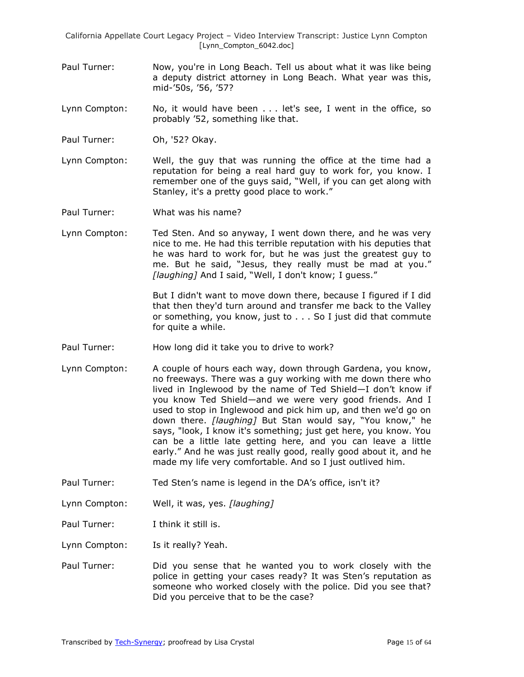Paul Turner: Now, you're in Long Beach. Tell us about what it was like being a deputy district attorney in Long Beach. What year was this, mid-'50s, '56, '57?

Lynn Compton: No, it would have been . . . let's see, I went in the office, so probably '52, something like that.

- Paul Turner: Oh, '52? Okay.
- Lynn Compton: Well, the guy that was running the office at the time had a reputation for being a real hard guy to work for, you know. I remember one of the guys said, "Well, if you can get along with Stanley, it's a pretty good place to work."
- Paul Turner: What was his name?
- Lynn Compton: Ted Sten. And so anyway, I went down there, and he was very nice to me. He had this terrible reputation with his deputies that he was hard to work for, but he was just the greatest guy to me. But he said, "Jesus, they really must be mad at you." [laughing] And I said, "Well, I don't know; I guess."

But I didn't want to move down there, because I figured if I did that then they'd turn around and transfer me back to the Valley or something, you know, just to . . . So I just did that commute for quite a while.

- Paul Turner: How long did it take you to drive to work?
- Lynn Compton: A couple of hours each way, down through Gardena, you know, no freeways. There was a guy working with me down there who lived in Inglewood by the name of Ted Shield—I don't know if you know Ted Shield—and we were very good friends. And I used to stop in Inglewood and pick him up, and then we'd go on down there. *[laughing]* But Stan would say, "You know," he says, "look, I know it's something; just get here, you know. You can be a little late getting here, and you can leave a little early." And he was just really good, really good about it, and he made my life very comfortable. And so I just outlived him.
- Paul Turner: Ted Sten's name is legend in the DA's office, isn't it?
- Lynn Compton: Well, it was, yes. *[laughing]*
- Paul Turner: I think it still is.
- Lynn Compton: Is it really? Yeah.
- Paul Turner: Did you sense that he wanted you to work closely with the police in getting your cases ready? It was Sten's reputation as someone who worked closely with the police. Did you see that? Did you perceive that to be the case?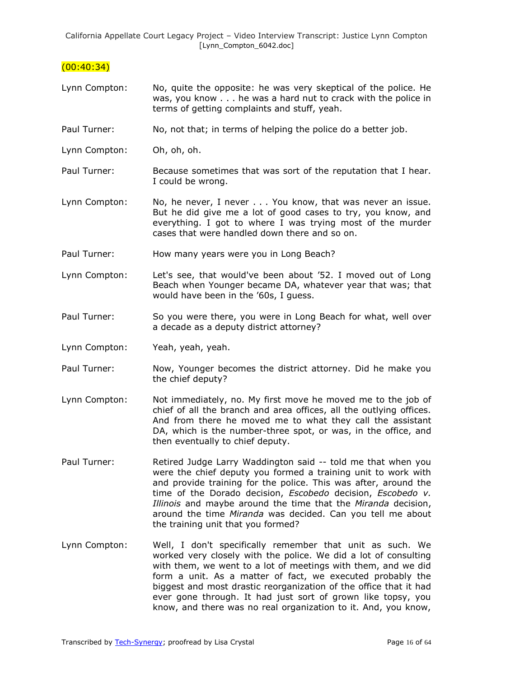## $(00:40:34)$

- Lynn Compton: No, quite the opposite: he was very skeptical of the police. He was, you know . . . he was a hard nut to crack with the police in terms of getting complaints and stuff, yeah.
- Paul Turner: No, not that; in terms of helping the police do a better job.
- Lynn Compton: Oh, oh, oh.
- Paul Turner: Because sometimes that was sort of the reputation that I hear. I could be wrong.
- Lynn Compton: No, he never, I never . . . You know, that was never an issue. But he did give me a lot of good cases to try, you know, and everything. I got to where I was trying most of the murder cases that were handled down there and so on.
- Paul Turner: How many years were you in Long Beach?
- Lynn Compton: Let's see, that would've been about '52. I moved out of Long Beach when Younger became DA, whatever year that was; that would have been in the '60s, I guess.
- Paul Turner: So you were there, you were in Long Beach for what, well over a decade as a deputy district attorney?
- Lynn Compton: Yeah, yeah, yeah.
- Paul Turner: Now, Younger becomes the district attorney. Did he make you the chief deputy?
- Lynn Compton: Not immediately, no. My first move he moved me to the job of chief of all the branch and area offices, all the outlying offices. And from there he moved me to what they call the assistant DA, which is the number-three spot, or was, in the office, and then eventually to chief deputy.
- Paul Turner: Retired Judge Larry Waddington said -- told me that when you were the chief deputy you formed a training unit to work with and provide training for the police. This was after, around the time of the Dorado decision, *Escobedo* decision, *Escobedo v. Illinois* and maybe around the time that the *Miranda* decision, around the time *Miranda* was decided. Can you tell me about the training unit that you formed?
- Lynn Compton: Well, I don't specifically remember that unit as such. We worked very closely with the police. We did a lot of consulting with them, we went to a lot of meetings with them, and we did form a unit. As a matter of fact, we executed probably the biggest and most drastic reorganization of the office that it had ever gone through. It had just sort of grown like topsy, you know, and there was no real organization to it. And, you know,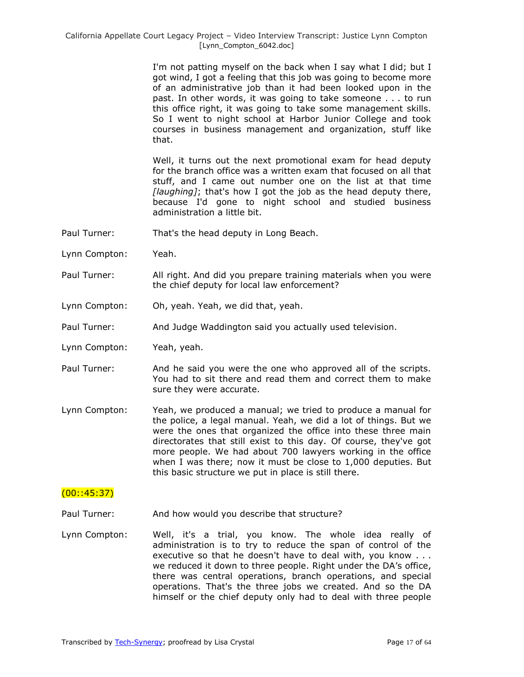> I'm not patting myself on the back when I say what I did; but I got wind, I got a feeling that this job was going to become more of an administrative job than it had been looked upon in the past. In other words, it was going to take someone . . . to run this office right, it was going to take some management skills. So I went to night school at Harbor Junior College and took courses in business management and organization, stuff like that.

> Well, it turns out the next promotional exam for head deputy for the branch office was a written exam that focused on all that stuff, and I came out number one on the list at that time *[laughing]*; that's how I got the job as the head deputy there, because I'd gone to night school and studied business administration a little bit.

- Paul Turner: That's the head deputy in Long Beach.
- Lynn Compton: Yeah.
- Paul Turner: All right. And did you prepare training materials when you were the chief deputy for local law enforcement?
- Lynn Compton: Oh, yeah. Yeah, we did that, yeah.
- Paul Turner: And Judge Waddington said you actually used television.
- Lynn Compton: Yeah, yeah.
- Paul Turner: And he said you were the one who approved all of the scripts. You had to sit there and read them and correct them to make sure they were accurate.
- Lynn Compton: Yeah, we produced a manual; we tried to produce a manual for the police, a legal manual. Yeah, we did a lot of things. But we were the ones that organized the office into these three main directorates that still exist to this day. Of course, they've got more people. We had about 700 lawyers working in the office when I was there; now it must be close to 1,000 deputies. But this basic structure we put in place is still there.

## $(00::45:37)$

- Paul Turner: And how would you describe that structure?
- Lynn Compton: Well, it's a trial, you know. The whole idea really of administration is to try to reduce the span of control of the executive so that he doesn't have to deal with, you know . . . we reduced it down to three people. Right under the DA's office, there was central operations, branch operations, and special operations. That's the three jobs we created. And so the DA himself or the chief deputy only had to deal with three people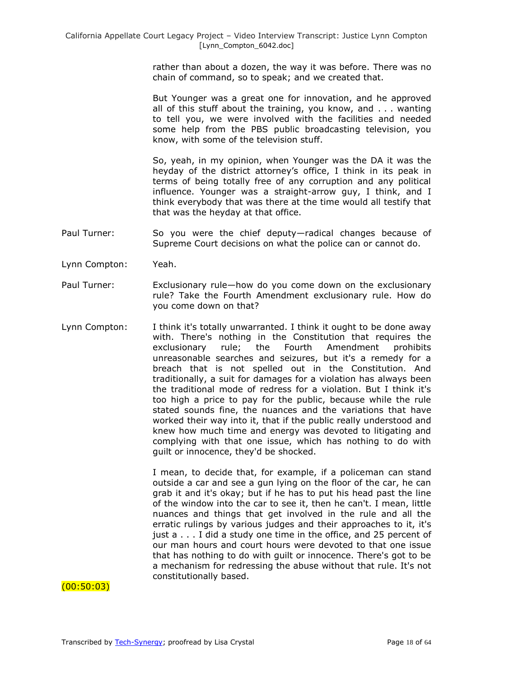rather than about a dozen, the way it was before. There was no chain of command, so to speak; and we created that.

But Younger was a great one for innovation, and he approved all of this stuff about the training, you know, and . . . wanting to tell you, we were involved with the facilities and needed some help from the PBS public broadcasting television, you know, with some of the television stuff.

So, yeah, in my opinion, when Younger was the DA it was the heyday of the district attorney's office, I think in its peak in terms of being totally free of any corruption and any political influence. Younger was a straight-arrow guy, I think, and I think everybody that was there at the time would all testify that that was the heyday at that office.

- Paul Turner: So you were the chief deputy—radical changes because of Supreme Court decisions on what the police can or cannot do.
- Lynn Compton: Yeah.
- Paul Turner: Exclusionary rule—how do you come down on the exclusionary rule? Take the Fourth Amendment exclusionary rule. How do you come down on that?
- Lynn Compton: I think it's totally unwarranted. I think it ought to be done away with. There's nothing in the Constitution that requires the exclusionary rule; the Fourth Amendment prohibits unreasonable searches and seizures, but it's a remedy for a breach that is not spelled out in the Constitution. And traditionally, a suit for damages for a violation has always been the traditional mode of redress for a violation. But I think it's too high a price to pay for the public, because while the rule stated sounds fine, the nuances and the variations that have worked their way into it, that if the public really understood and knew how much time and energy was devoted to litigating and complying with that one issue, which has nothing to do with guilt or innocence, they'd be shocked.

I mean, to decide that, for example, if a policeman can stand outside a car and see a gun lying on the floor of the car, he can grab it and it's okay; but if he has to put his head past the line of the window into the car to see it, then he can't. I mean, little nuances and things that get involved in the rule and all the erratic rulings by various judges and their approaches to it, it's just a . . . I did a study one time in the office, and 25 percent of our man hours and court hours were devoted to that one issue that has nothing to do with guilt or innocence. There's got to be a mechanism for redressing the abuse without that rule. It's not constitutionally based.

## (00:50:03)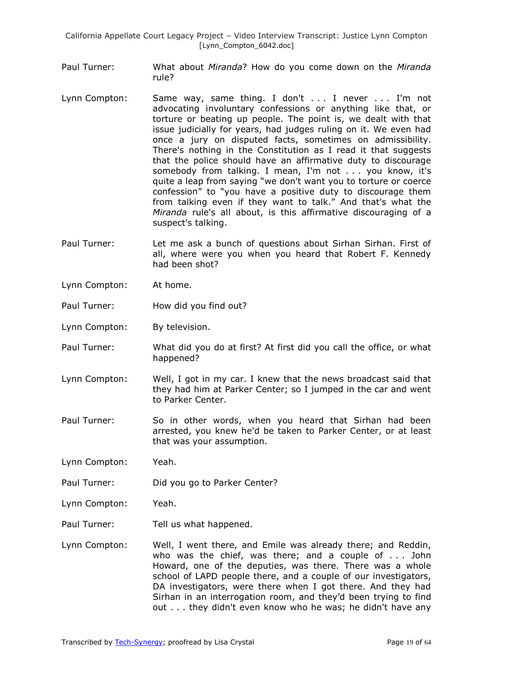- Paul Turner: What about *Miranda*? How do you come down on the *Miranda* rule?
- Lynn Compton: Same way, same thing. I don't . . . I never . . . I'm not advocating involuntary confessions or anything like that, or torture or beating up people. The point is, we dealt with that issue judicially for years, had judges ruling on it. We even had once a jury on disputed facts, sometimes on admissibility. There's nothing in the Constitution as I read it that suggests that the police should have an affirmative duty to discourage somebody from talking. I mean, I'm not . . . you know, it's quite a leap from saying "we don't want you to torture or coerce confession" to "you have a positive duty to discourage them from talking even if they want to talk." And that's what the *Miranda* rule's all about, is this affirmative discouraging of a suspect's talking.
- Paul Turner: Let me ask a bunch of questions about Sirhan Sirhan. First of all, where were you when you heard that Robert F. Kennedy had been shot?
- Lynn Compton: At home.
- Paul Turner: How did you find out?
- Lynn Compton: By television.
- Paul Turner: What did you do at first? At first did you call the office, or what happened?
- Lynn Compton: Well, I got in my car. I knew that the news broadcast said that they had him at Parker Center; so I jumped in the car and went to Parker Center.
- Paul Turner: So in other words, when you heard that Sirhan had been arrested, you knew he'd be taken to Parker Center, or at least that was your assumption.
- Lynn Compton: Yeah.
- Paul Turner: Did you go to Parker Center?
- Lynn Compton: Yeah.
- Paul Turner: Tell us what happened.
- Lynn Compton: Well, I went there, and Emile was already there; and Reddin, who was the chief, was there; and a couple of . . . John Howard, one of the deputies, was there. There was a whole school of LAPD people there, and a couple of our investigators, DA investigators, were there when I got there. And they had Sirhan in an interrogation room, and they'd been trying to find out . . . they didn't even know who he was; he didn't have any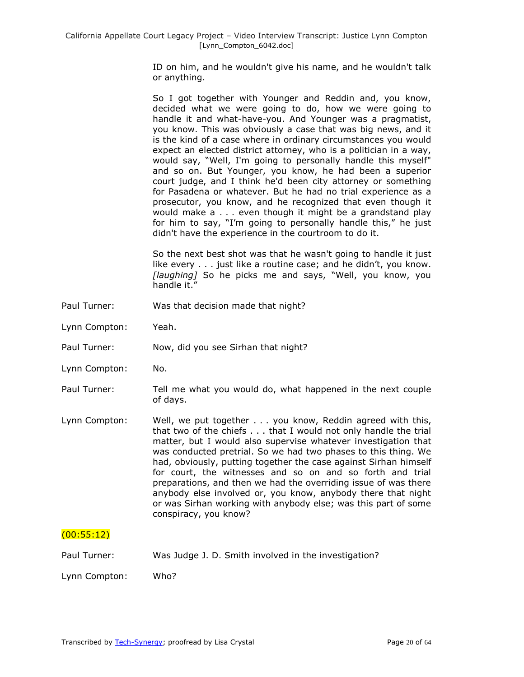ID on him, and he wouldn't give his name, and he wouldn't talk or anything.

So I got together with Younger and Reddin and, you know, decided what we were going to do, how we were going to handle it and what-have-you. And Younger was a pragmatist, you know. This was obviously a case that was big news, and it is the kind of a case where in ordinary circumstances you would expect an elected district attorney, who is a politician in a way, would say, "Well, I'm going to personally handle this myself" and so on. But Younger, you know, he had been a superior court judge, and I think he'd been city attorney or something for Pasadena or whatever. But he had no trial experience as a prosecutor, you know, and he recognized that even though it would make a . . . even though it might be a grandstand play for him to say, "I'm going to personally handle this," he just didn't have the experience in the courtroom to do it.

So the next best shot was that he wasn't going to handle it just like every . . . just like a routine case; and he didn't, you know. [laughing] So he picks me and says, "Well, you know, you handle it."

- Paul Turner: Was that decision made that night?
- Lynn Compton: Yeah.
- Paul Turner: Now, did you see Sirhan that night?
- Lynn Compton: No.
- Paul Turner: Tell me what you would do, what happened in the next couple of days.
- Lynn Compton: Well, we put together . . . you know, Reddin agreed with this, that two of the chiefs . . . that I would not only handle the trial matter, but I would also supervise whatever investigation that was conducted pretrial. So we had two phases to this thing. We had, obviously, putting together the case against Sirhan himself for court, the witnesses and so on and so forth and trial preparations, and then we had the overriding issue of was there anybody else involved or, you know, anybody there that night or was Sirhan working with anybody else; was this part of some conspiracy, you know?

## (00:55:12)

Paul Turner: Was Judge J. D. Smith involved in the investigation?

Lynn Compton: Who?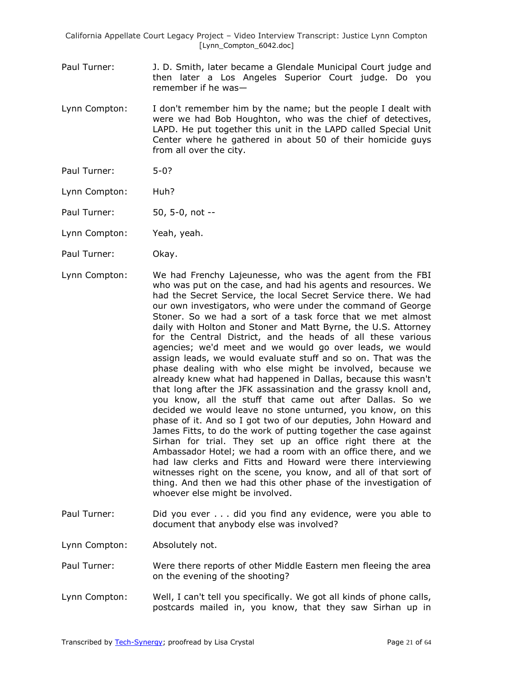- Paul Turner: J. D. Smith, later became a Glendale Municipal Court judge and then later a Los Angeles Superior Court judge. Do you remember if he was—
- Lynn Compton: I don't remember him by the name; but the people I dealt with were we had Bob Houghton, who was the chief of detectives, LAPD. He put together this unit in the LAPD called Special Unit Center where he gathered in about 50 of their homicide guys from all over the city.
- Paul Turner: 5-0?
- Lynn Compton: Huh?
- Paul Turner: 50, 5-0, not --
- Lynn Compton: Yeah, yeah.
- Paul Turner: Okay.
- Lynn Compton: We had Frenchy Lajeunesse, who was the agent from the FBI who was put on the case, and had his agents and resources. We had the Secret Service, the local Secret Service there. We had our own investigators, who were under the command of George Stoner. So we had a sort of a task force that we met almost daily with Holton and Stoner and Matt Byrne, the U.S. Attorney for the Central District, and the heads of all these various agencies; we'd meet and we would go over leads, we would assign leads, we would evaluate stuff and so on. That was the phase dealing with who else might be involved, because we already knew what had happened in Dallas, because this wasn't that long after the JFK assassination and the grassy knoll and, you know, all the stuff that came out after Dallas. So we decided we would leave no stone unturned, you know, on this phase of it. And so I got two of our deputies, John Howard and James Fitts, to do the work of putting together the case against Sirhan for trial. They set up an office right there at the Ambassador Hotel; we had a room with an office there, and we had law clerks and Fitts and Howard were there interviewing witnesses right on the scene, you know, and all of that sort of thing. And then we had this other phase of the investigation of whoever else might be involved.
- Paul Turner: Did you ever . . . did you find any evidence, were you able to document that anybody else was involved?
- Lynn Compton: Absolutely not.
- Paul Turner: Were there reports of other Middle Eastern men fleeing the area on the evening of the shooting?
- Lynn Compton: Well, I can't tell you specifically. We got all kinds of phone calls, postcards mailed in, you know, that they saw Sirhan up in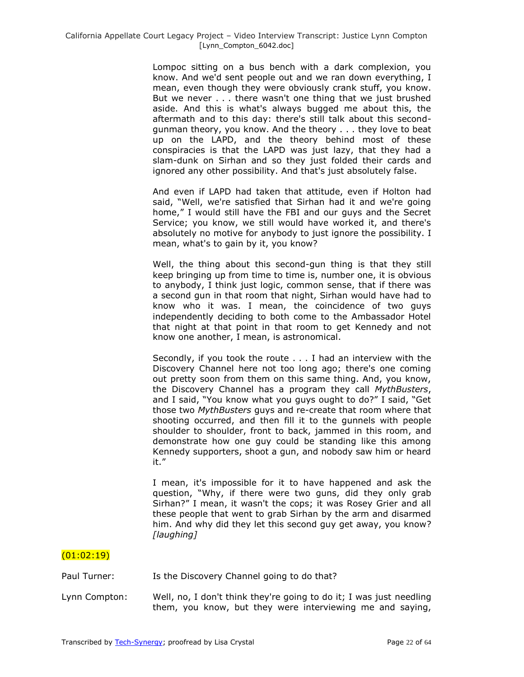Lompoc sitting on a bus bench with a dark complexion, you know. And we'd sent people out and we ran down everything, I mean, even though they were obviously crank stuff, you know. But we never . . . there wasn't one thing that we just brushed aside. And this is what's always bugged me about this, the aftermath and to this day: there's still talk about this secondgunman theory, you know. And the theory . . . they love to beat up on the LAPD, and the theory behind most of these conspiracies is that the LAPD was just lazy, that they had a slam-dunk on Sirhan and so they just folded their cards and ignored any other possibility. And that's just absolutely false.

And even if LAPD had taken that attitude, even if Holton had said, "Well, we're satisfied that Sirhan had it and we're going home," I would still have the FBI and our guys and the Secret Service; you know, we still would have worked it, and there's absolutely no motive for anybody to just ignore the possibility. I mean, what's to gain by it, you know?

Well, the thing about this second-gun thing is that they still keep bringing up from time to time is, number one, it is obvious to anybody, I think just logic, common sense, that if there was a second gun in that room that night, Sirhan would have had to know who it was. I mean, the coincidence of two guys independently deciding to both come to the Ambassador Hotel that night at that point in that room to get Kennedy and not know one another, I mean, is astronomical.

Secondly, if you took the route . . . I had an interview with the Discovery Channel here not too long ago; there's one coming out pretty soon from them on this same thing. And, you know, the Discovery Channel has a program they call *MythBusters*, and I said, "You know what you guys ought to do?" I said, "Get those two *MythBusters* guys and re-create that room where that shooting occurred, and then fill it to the gunnels with people shoulder to shoulder, front to back, jammed in this room, and demonstrate how one guy could be standing like this among Kennedy supporters, shoot a gun, and nobody saw him or heard it."

I mean, it's impossible for it to have happened and ask the question, "Why, if there were two guns, did they only grab Sirhan?" I mean, it wasn't the cops; it was Rosey Grier and all these people that went to grab Sirhan by the arm and disarmed him. And why did they let this second guy get away, you know? *[laughing]*

# (01:02:19)

Paul Turner: Is the Discovery Channel going to do that?

Lynn Compton: Well, no, I don't think they're going to do it; I was just needling them, you know, but they were interviewing me and saying,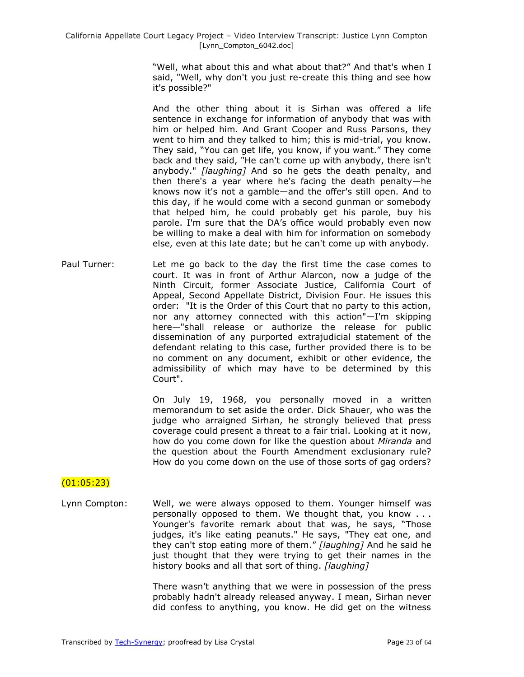> "Well, what about this and what about that?" And that's when I said, "Well, why don't you just re-create this thing and see how it's possible?"

> And the other thing about it is Sirhan was offered a life sentence in exchange for information of anybody that was with him or helped him. And Grant Cooper and Russ Parsons, they went to him and they talked to him; this is mid-trial, you know. They said, "You can get life, you know, if you want." They come back and they said, "He can't come up with anybody, there isn't anybody." *[laughing]* And so he gets the death penalty, and then there's a year where he's facing the death penalty—he knows now it's not a gamble—and the offer's still open. And to this day, if he would come with a second gunman or somebody that helped him, he could probably get his parole, buy his parole. I'm sure that the DA's office would probably even now be willing to make a deal with him for information on somebody else, even at this late date; but he can't come up with anybody.

Paul Turner: Let me go back to the day the first time the case comes to court. It was in front of Arthur Alarcon, now a judge of the Ninth Circuit, former Associate Justice, California Court of Appeal, Second Appellate District, Division Four. He issues this order: "It is the Order of this Court that no party to this action, nor any attorney connected with this action"—I'm skipping here—"shall release or authorize the release for public dissemination of any purported extrajudicial statement of the defendant relating to this case, further provided there is to be no comment on any document, exhibit or other evidence, the admissibility of which may have to be determined by this Court".

> On July 19, 1968, you personally moved in a written memorandum to set aside the order. Dick Shauer, who was the judge who arraigned Sirhan, he strongly believed that press coverage could present a threat to a fair trial. Looking at it now, how do you come down for like the question about *Miranda* and the question about the Fourth Amendment exclusionary rule? How do you come down on the use of those sorts of gag orders?

#### (01:05:23)

Lynn Compton: Well, we were always opposed to them. Younger himself was personally opposed to them. We thought that, you know . . . Younger's favorite remark about that was, he says, "Those judges, it's like eating peanuts." He says, "They eat one, and they can't stop eating more of them.‖ *[laughing]* And he said he just thought that they were trying to get their names in the history books and all that sort of thing. *[laughing]*

> There wasn't anything that we were in possession of the press probably hadn't already released anyway. I mean, Sirhan never did confess to anything, you know. He did get on the witness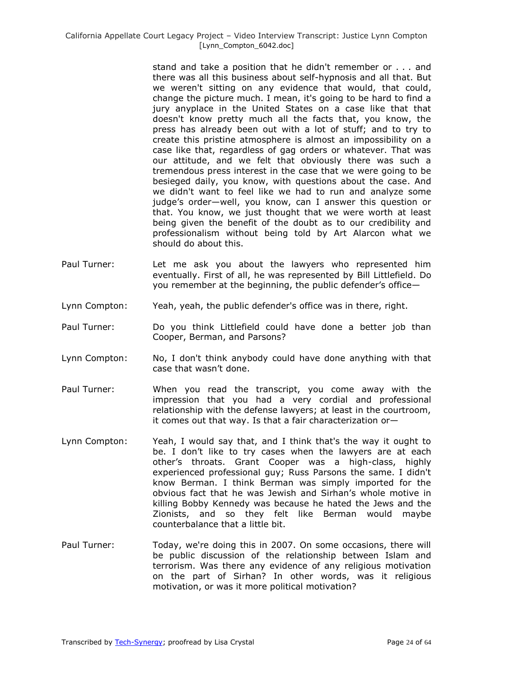stand and take a position that he didn't remember or . . . and there was all this business about self-hypnosis and all that. But we weren't sitting on any evidence that would, that could, change the picture much. I mean, it's going to be hard to find a jury anyplace in the United States on a case like that that doesn't know pretty much all the facts that, you know, the press has already been out with a lot of stuff; and to try to create this pristine atmosphere is almost an impossibility on a case like that, regardless of gag orders or whatever. That was our attitude, and we felt that obviously there was such a tremendous press interest in the case that we were going to be besieged daily, you know, with questions about the case. And we didn't want to feel like we had to run and analyze some judge's order—well, you know, can I answer this question or that. You know, we just thought that we were worth at least being given the benefit of the doubt as to our credibility and professionalism without being told by Art Alarcon what we should do about this.

- Paul Turner: Let me ask you about the lawyers who represented him eventually. First of all, he was represented by Bill Littlefield. Do you remember at the beginning, the public defender's office—
- Lynn Compton: Yeah, yeah, the public defender's office was in there, right.
- Paul Turner: Do you think Littlefield could have done a better job than Cooper, Berman, and Parsons?
- Lynn Compton: No, I don't think anybody could have done anything with that case that wasn't done.
- Paul Turner: When you read the transcript, you come away with the impression that you had a very cordial and professional relationship with the defense lawyers; at least in the courtroom, it comes out that way. Is that a fair characterization or—
- Lynn Compton: Yeah, I would say that, and I think that's the way it ought to be. I don't like to try cases when the lawyers are at each other's throats. Grant Cooper was a high-class, highly experienced professional guy; Russ Parsons the same. I didn't know Berman. I think Berman was simply imported for the obvious fact that he was Jewish and Sirhan's whole motive in killing Bobby Kennedy was because he hated the Jews and the Zionists, and so they felt like Berman would maybe counterbalance that a little bit.
- Paul Turner: Today, we're doing this in 2007. On some occasions, there will be public discussion of the relationship between Islam and terrorism. Was there any evidence of any religious motivation on the part of Sirhan? In other words, was it religious motivation, or was it more political motivation?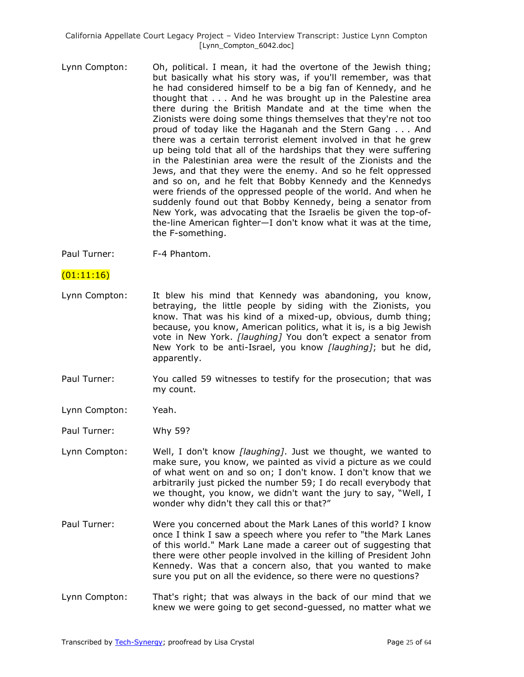Lynn Compton: Oh, political. I mean, it had the overtone of the Jewish thing; but basically what his story was, if you'll remember, was that he had considered himself to be a big fan of Kennedy, and he thought that . . . And he was brought up in the Palestine area there during the British Mandate and at the time when the Zionists were doing some things themselves that they're not too proud of today like the Haganah and the Stern Gang . . . And there was a certain terrorist element involved in that he grew up being told that all of the hardships that they were suffering in the Palestinian area were the result of the Zionists and the Jews, and that they were the enemy. And so he felt oppressed and so on, and he felt that Bobby Kennedy and the Kennedys were friends of the oppressed people of the world. And when he suddenly found out that Bobby Kennedy, being a senator from New York, was advocating that the Israelis be given the top-ofthe-line American fighter—I don't know what it was at the time, the F-something.

Paul Turner: F-4 Phantom.

### $(01:11:16)$

- Lynn Compton: It blew his mind that Kennedy was abandoning, you know, betraying, the little people by siding with the Zionists, you know. That was his kind of a mixed-up, obvious, dumb thing; because, you know, American politics, what it is, is a big Jewish vote in New York. *[laughing]* You don't expect a senator from New York to be anti-Israel, you know *[laughing]*; but he did, apparently.
- Paul Turner: You called 59 witnesses to testify for the prosecution; that was my count.
- Lynn Compton: Yeah.
- Paul Turner: Why 59?
- Lynn Compton: Well, I don't know *[laughing]*. Just we thought, we wanted to make sure, you know, we painted as vivid a picture as we could of what went on and so on; I don't know. I don't know that we arbitrarily just picked the number 59; I do recall everybody that we thought, you know, we didn't want the jury to say, "Well, I wonder why didn't they call this or that?"
- Paul Turner: Were you concerned about the Mark Lanes of this world? I know once I think I saw a speech where you refer to "the Mark Lanes of this world." Mark Lane made a career out of suggesting that there were other people involved in the killing of President John Kennedy. Was that a concern also, that you wanted to make sure you put on all the evidence, so there were no questions?
- Lynn Compton: That's right; that was always in the back of our mind that we knew we were going to get second-guessed, no matter what we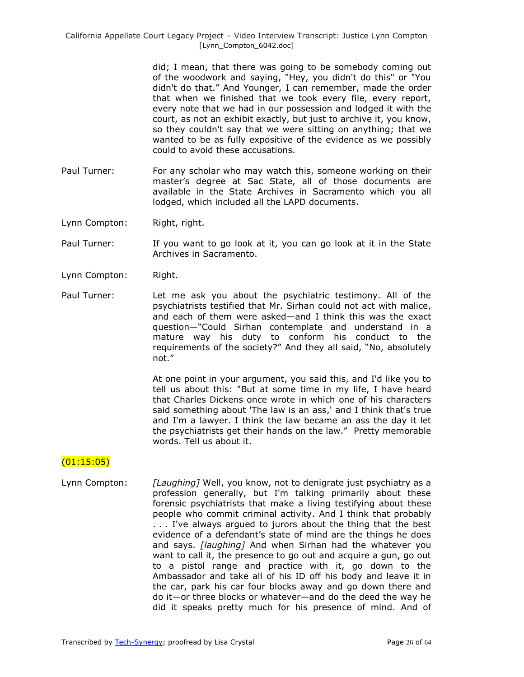did; I mean, that there was going to be somebody coming out of the woodwork and saying, "Hey, you didn't do this" or "You didn't do that." And Younger, I can remember, made the order that when we finished that we took every file, every report, every note that we had in our possession and lodged it with the court, as not an exhibit exactly, but just to archive it, you know, so they couldn't say that we were sitting on anything; that we wanted to be as fully expositive of the evidence as we possibly could to avoid these accusations.

- Paul Turner: For any scholar who may watch this, someone working on their master's degree at Sac State, all of those documents are available in the State Archives in Sacramento which you all lodged, which included all the LAPD documents.
- Lynn Compton: Right, right.
- Paul Turner: If you want to go look at it, you can go look at it in the State Archives in Sacramento.
- Lynn Compton: Right.
- Paul Turner: Let me ask you about the psychiatric testimony. All of the psychiatrists testified that Mr. Sirhan could not act with malice, and each of them were asked—and I think this was the exact question—―Could Sirhan contemplate and understand in a mature way his duty to conform his conduct to the requirements of the society?" And they all said, "No, absolutely not."

At one point in your argument, you said this, and I'd like you to tell us about this: "But at some time in my life, I have heard that Charles Dickens once wrote in which one of his characters said something about 'The law is an ass,' and I think that's true and I'm a lawyer. I think the law became an ass the day it let the psychiatrists get their hands on the law.‖ Pretty memorable words. Tell us about it.

## $(01:15:05)$

Lynn Compton: *[Laughing]* Well, you know, not to denigrate just psychiatry as a profession generally, but I'm talking primarily about these forensic psychiatrists that make a living testifying about these people who commit criminal activity. And I think that probably . . . I've always argued to jurors about the thing that the best evidence of a defendant's state of mind are the things he does and says. *[laughing]* And when Sirhan had the whatever you want to call it, the presence to go out and acquire a gun, go out to a pistol range and practice with it, go down to the Ambassador and take all of his ID off his body and leave it in the car, park his car four blocks away and go down there and do it—or three blocks or whatever—and do the deed the way he did it speaks pretty much for his presence of mind. And of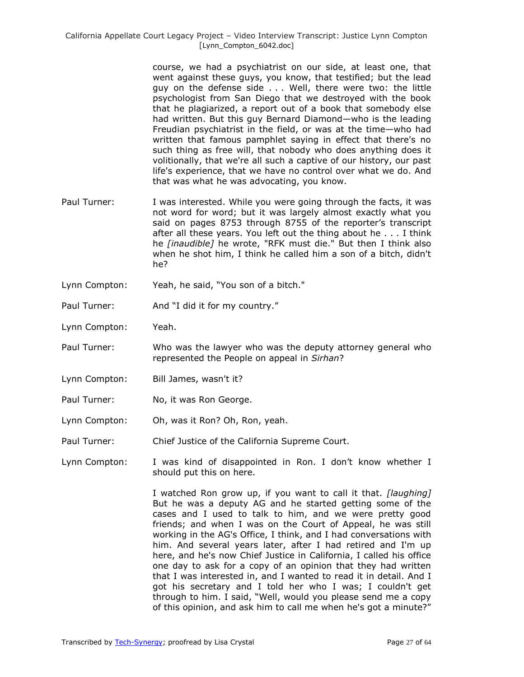course, we had a psychiatrist on our side, at least one, that went against these guys, you know, that testified; but the lead guy on the defense side . . . Well, there were two: the little psychologist from San Diego that we destroyed with the book that he plagiarized, a report out of a book that somebody else had written. But this guy Bernard Diamond—who is the leading Freudian psychiatrist in the field, or was at the time—who had written that famous pamphlet saying in effect that there's no such thing as free will, that nobody who does anything does it volitionally, that we're all such a captive of our history, our past life's experience, that we have no control over what we do. And that was what he was advocating, you know.

- Paul Turner: I was interested. While you were going through the facts, it was not word for word; but it was largely almost exactly what you said on pages 8753 through 8755 of the reporter's transcript after all these years. You left out the thing about he . . . I think he *[inaudible]* he wrote, "RFK must die." But then I think also when he shot him, I think he called him a son of a bitch, didn't he?
- Lynn Compton: Yeah, he said, "You son of a bitch."
- Paul Turner: And "I did it for my country."
- Lynn Compton: Yeah.
- Paul Turner: Who was the lawyer who was the deputy attorney general who represented the People on appeal in *Sirhan*?
- Lynn Compton: Bill James, wasn't it?
- Paul Turner: No, it was Ron George.
- Lynn Compton: Oh, was it Ron? Oh, Ron, yeah.
- Paul Turner: Chief Justice of the California Supreme Court.
- Lynn Compton: I was kind of disappointed in Ron. I don't know whether I should put this on here.

I watched Ron grow up, if you want to call it that. *[laughing]* But he was a deputy AG and he started getting some of the cases and I used to talk to him, and we were pretty good friends; and when I was on the Court of Appeal, he was still working in the AG's Office, I think, and I had conversations with him. And several years later, after I had retired and I'm up here, and he's now Chief Justice in California, I called his office one day to ask for a copy of an opinion that they had written that I was interested in, and I wanted to read it in detail. And I got his secretary and I told her who I was; I couldn't get through to him. I said, "Well, would you please send me a copy of this opinion, and ask him to call me when he's got a minute?"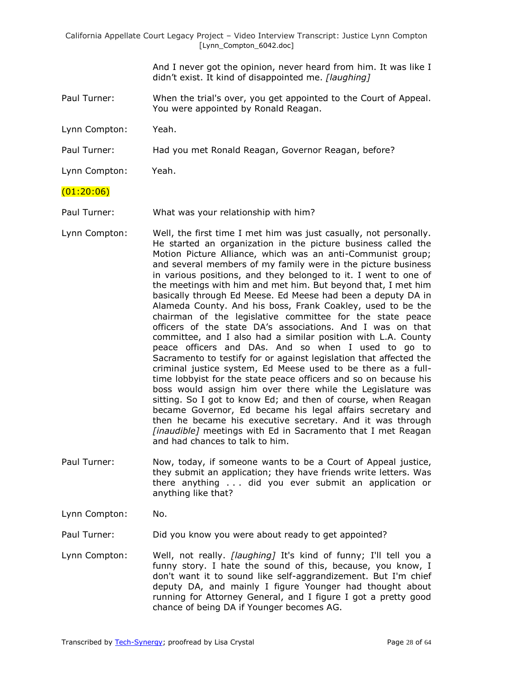> And I never got the opinion, never heard from him. It was like I didn't exist. It kind of disappointed me. *[laughing]*

Paul Turner: When the trial's over, you get appointed to the Court of Appeal. You were appointed by Ronald Reagan.

Lynn Compton: Yeah.

Paul Turner: Had you met Ronald Reagan, Governor Reagan, before?

Lynn Compton: Yeah.

### (01:20:06)

- Paul Turner: What was your relationship with him?
- Lynn Compton: Well, the first time I met him was just casually, not personally. He started an organization in the picture business called the Motion Picture Alliance, which was an anti-Communist group; and several members of my family were in the picture business in various positions, and they belonged to it. I went to one of the meetings with him and met him. But beyond that, I met him basically through Ed Meese. Ed Meese had been a deputy DA in Alameda County. And his boss, Frank Coakley, used to be the chairman of the legislative committee for the state peace officers of the state DA's associations. And I was on that committee, and I also had a similar position with L.A. County peace officers and DAs. And so when I used to go to Sacramento to testify for or against legislation that affected the criminal justice system, Ed Meese used to be there as a fulltime lobbyist for the state peace officers and so on because his boss would assign him over there while the Legislature was sitting. So I got to know Ed; and then of course, when Reagan became Governor, Ed became his legal affairs secretary and then he became his executive secretary. And it was through *[inaudible]* meetings with Ed in Sacramento that I met Reagan and had chances to talk to him.
- Paul Turner: Now, today, if someone wants to be a Court of Appeal justice, they submit an application; they have friends write letters. Was there anything . . . did you ever submit an application or anything like that?
- Lynn Compton: No.

Paul Turner: Did you know you were about ready to get appointed?

Lynn Compton: Well, not really. *[laughing]* It's kind of funny; I'll tell you a funny story. I hate the sound of this, because, you know, I don't want it to sound like self-aggrandizement. But I'm chief deputy DA, and mainly I figure Younger had thought about running for Attorney General, and I figure I got a pretty good chance of being DA if Younger becomes AG.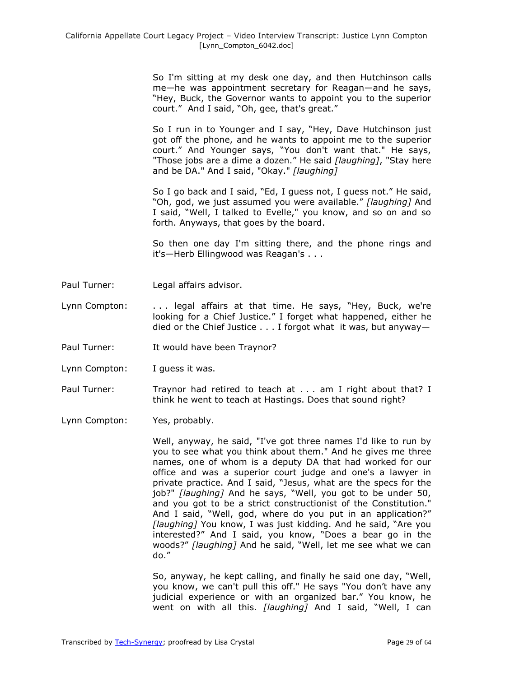So I'm sitting at my desk one day, and then Hutchinson calls me—he was appointment secretary for Reagan—and he says, "Hey, Buck, the Governor wants to appoint you to the superior court." And I said, "Oh, gee, that's great."

So I run in to Younger and I say, "Hey, Dave Hutchinson just got off the phone, and he wants to appoint me to the superior court." And Younger says, "You don't want that." He says, "Those jobs are a dime a dozen.‖ He said *[laughing]*, "Stay here and be DA." And I said, "Okay." *[laughing]*

So I go back and I said, "Ed, I guess not, I guess not." He said, ―Oh, god, we just assumed you were available.‖ *[laughing]* And I said, "Well, I talked to Evelle," you know, and so on and so forth. Anyways, that goes by the board.

So then one day I'm sitting there, and the phone rings and it's—Herb Ellingwood was Reagan's . . .

- Paul Turner: Legal affairs advisor.
- Lynn Compton: ... legal affairs at that time. He says, "Hey, Buck, we're looking for a Chief Justice." I forget what happened, either he died or the Chief Justice . . . I forgot what it was, but anyway—
- Paul Turner: It would have been Traynor?
- Lynn Compton: I guess it was.
- Paul Turner: Traynor had retired to teach at . . . am I right about that? I think he went to teach at Hastings. Does that sound right?
- Lynn Compton: Yes, probably.

Well, anyway, he said, "I've got three names I'd like to run by you to see what you think about them." And he gives me three names, one of whom is a deputy DA that had worked for our office and was a superior court judge and one's a lawyer in private practice. And I said, "Jesus, what are the specs for the job?" [laughing] And he says, "Well, you got to be under 50, and you got to be a strict constructionist of the Constitution." And I said, "Well, god, where do you put in an application?" *[laughing]* You know, I was just kidding. And he said, "Are you interested?" And I said, you know, "Does a bear go in the woods?" [laughing] And he said, "Well, let me see what we can do.‖

So, anyway, he kept calling, and finally he said one day, "Well, you know, we can't pull this off." He says "You don't have any judicial experience or with an organized bar." You know, he went on with all this. *[laughing]* And I said, "Well, I can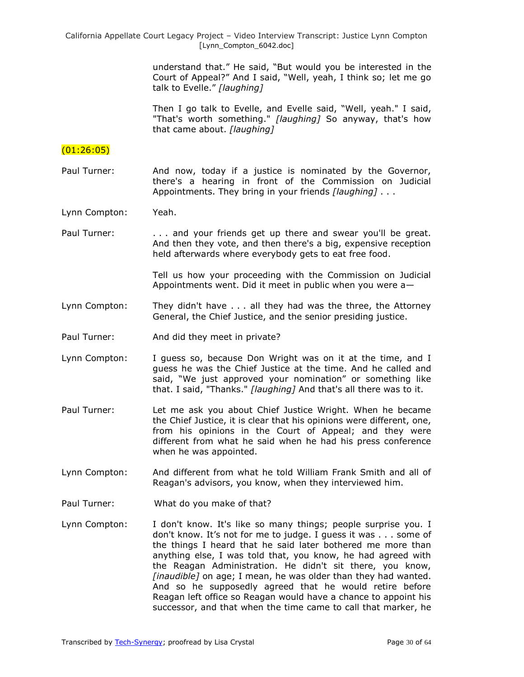understand that." He said, "But would you be interested in the Court of Appeal?" And I said, "Well, yeah, I think so; let me go talk to Evelle." [laughing]

Then I go talk to Evelle, and Evelle said, "Well, yeah." I said, "That's worth something." *[laughing]* So anyway, that's how that came about. *[laughing]*

# $(01:26:05)$

- Paul Turner: And now, today if a justice is nominated by the Governor, there's a hearing in front of the Commission on Judicial Appointments. They bring in your friends *[laughing]* . . .
- Lynn Compton: Yeah.
- Paul Turner: ... and your friends get up there and swear you'll be great. And then they vote, and then there's a big, expensive reception held afterwards where everybody gets to eat free food.

Tell us how your proceeding with the Commission on Judicial Appointments went. Did it meet in public when you were a—

- Lynn Compton: They didn't have . . . all they had was the three, the Attorney General, the Chief Justice, and the senior presiding justice.
- Paul Turner: And did they meet in private?
- Lynn Compton: I guess so, because Don Wright was on it at the time, and I guess he was the Chief Justice at the time. And he called and said, "We just approved your nomination" or something like that. I said, "Thanks." *[laughing]* And that's all there was to it.
- Paul Turner: Let me ask you about Chief Justice Wright. When he became the Chief Justice, it is clear that his opinions were different, one, from his opinions in the Court of Appeal; and they were different from what he said when he had his press conference when he was appointed.
- Lynn Compton: And different from what he told William Frank Smith and all of Reagan's advisors, you know, when they interviewed him.
- Paul Turner: What do you make of that?
- Lynn Compton: I don't know. It's like so many things; people surprise you. I don't know. It's not for me to judge. I guess it was . . . some of the things I heard that he said later bothered me more than anything else, I was told that, you know, he had agreed with the Reagan Administration. He didn't sit there, you know, *[inaudible]* on age; I mean, he was older than they had wanted. And so he supposedly agreed that he would retire before Reagan left office so Reagan would have a chance to appoint his successor, and that when the time came to call that marker, he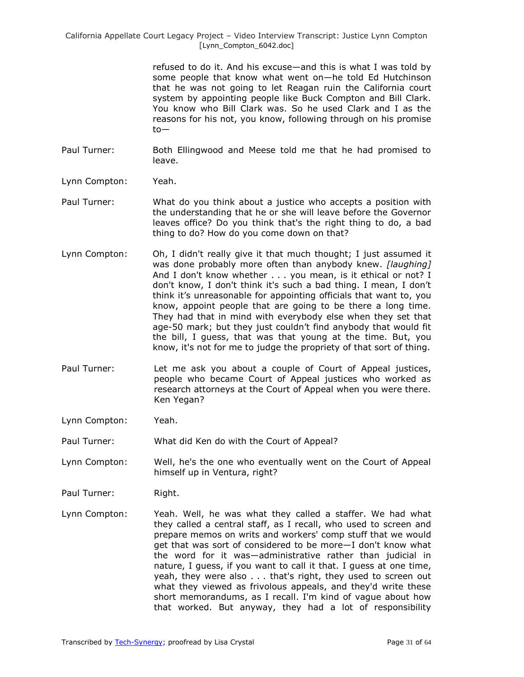> refused to do it. And his excuse—and this is what I was told by some people that know what went on—he told Ed Hutchinson that he was not going to let Reagan ruin the California court system by appointing people like Buck Compton and Bill Clark. You know who Bill Clark was. So he used Clark and I as the reasons for his not, you know, following through on his promise to—

- Paul Turner: Both Ellingwood and Meese told me that he had promised to leave.
- Lynn Compton: Yeah.
- Paul Turner: What do you think about a justice who accepts a position with the understanding that he or she will leave before the Governor leaves office? Do you think that's the right thing to do, a bad thing to do? How do you come down on that?
- Lynn Compton: Oh, I didn't really give it that much thought; I just assumed it was done probably more often than anybody knew. *[laughing]* And I don't know whether . . . you mean, is it ethical or not? I don't know, I don't think it's such a bad thing. I mean, I don't think it's unreasonable for appointing officials that want to, you know, appoint people that are going to be there a long time. They had that in mind with everybody else when they set that age-50 mark; but they just couldn't find anybody that would fit the bill, I guess, that was that young at the time. But, you know, it's not for me to judge the propriety of that sort of thing.
- Paul Turner: Let me ask you about a couple of Court of Appeal justices, people who became Court of Appeal justices who worked as research attorneys at the Court of Appeal when you were there. Ken Yegan?
- Lynn Compton: Yeah.

Paul Turner: What did Ken do with the Court of Appeal?

- Lynn Compton: Well, he's the one who eventually went on the Court of Appeal himself up in Ventura, right?
- Paul Turner: Right.
- Lynn Compton: Yeah. Well, he was what they called a staffer. We had what they called a central staff, as I recall, who used to screen and prepare memos on writs and workers' comp stuff that we would get that was sort of considered to be more—I don't know what the word for it was—administrative rather than judicial in nature, I guess, if you want to call it that. I guess at one time, yeah, they were also . . . that's right, they used to screen out what they viewed as frivolous appeals, and they'd write these short memorandums, as I recall. I'm kind of vague about how that worked. But anyway, they had a lot of responsibility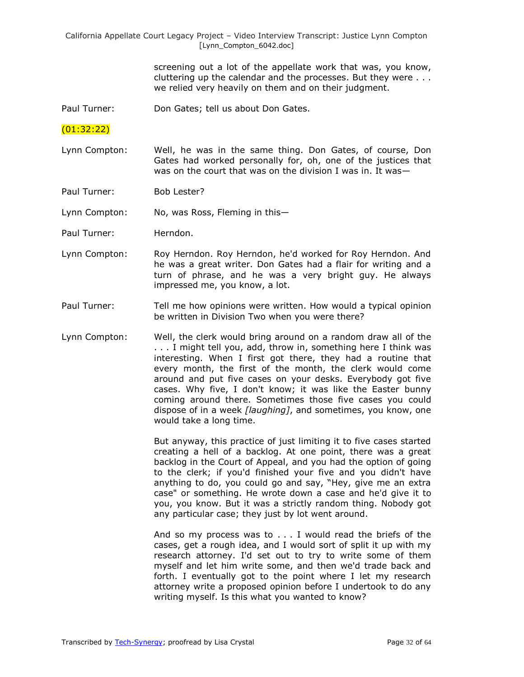> screening out a lot of the appellate work that was, you know, cluttering up the calendar and the processes. But they were . . . we relied very heavily on them and on their judgment.

Paul Turner: Don Gates; tell us about Don Gates.

(01:32:22)

- Lynn Compton: Well, he was in the same thing. Don Gates, of course, Don Gates had worked personally for, oh, one of the justices that was on the court that was on the division I was in. It was-
- Paul Turner: Bob Lester?

Lynn Compton: No, was Ross, Fleming in this—

- Paul Turner: Herndon.
- Lynn Compton: Roy Herndon. Roy Herndon, he'd worked for Roy Herndon. And he was a great writer. Don Gates had a flair for writing and a turn of phrase, and he was a very bright guy. He always impressed me, you know, a lot.
- Paul Turner: Tell me how opinions were written. How would a typical opinion be written in Division Two when you were there?
- Lynn Compton: Well, the clerk would bring around on a random draw all of the . . . I might tell you, add, throw in, something here I think was interesting. When I first got there, they had a routine that every month, the first of the month, the clerk would come around and put five cases on your desks. Everybody got five cases. Why five, I don't know; it was like the Easter bunny coming around there. Sometimes those five cases you could dispose of in a week *[laughing]*, and sometimes, you know, one would take a long time.

But anyway, this practice of just limiting it to five cases started creating a hell of a backlog. At one point, there was a great backlog in the Court of Appeal, and you had the option of going to the clerk; if you'd finished your five and you didn't have anything to do, you could go and say, "Hey, give me an extra case" or something. He wrote down a case and he'd give it to you, you know. But it was a strictly random thing. Nobody got any particular case; they just by lot went around.

And so my process was to . . . I would read the briefs of the cases, get a rough idea, and I would sort of split it up with my research attorney. I'd set out to try to write some of them myself and let him write some, and then we'd trade back and forth. I eventually got to the point where I let my research attorney write a proposed opinion before I undertook to do any writing myself. Is this what you wanted to know?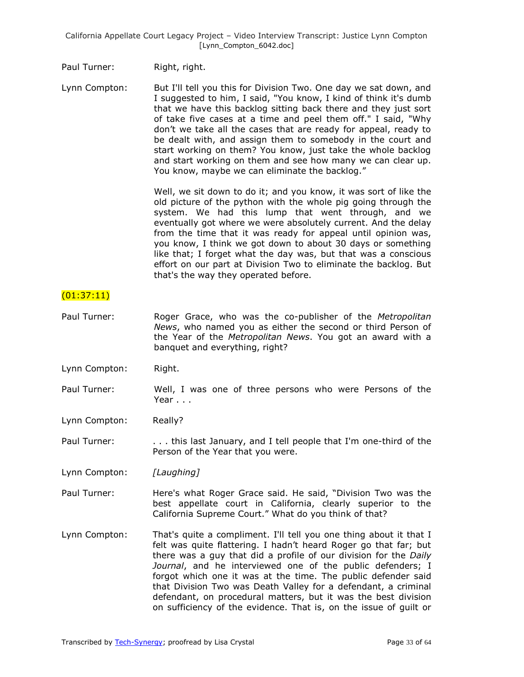Paul Turner: Right, right.

Lynn Compton: But I'll tell you this for Division Two. One day we sat down, and I suggested to him, I said, "You know, I kind of think it's dumb that we have this backlog sitting back there and they just sort of take five cases at a time and peel them off." I said, "Why don't we take all the cases that are ready for appeal, ready to be dealt with, and assign them to somebody in the court and start working on them? You know, just take the whole backlog and start working on them and see how many we can clear up. You know, maybe we can eliminate the backlog."

> Well, we sit down to do it; and you know, it was sort of like the old picture of the python with the whole pig going through the system. We had this lump that went through, and we eventually got where we were absolutely current. And the delay from the time that it was ready for appeal until opinion was, you know, I think we got down to about 30 days or something like that; I forget what the day was, but that was a conscious effort on our part at Division Two to eliminate the backlog. But that's the way they operated before.

## $(01:37:11)$

- Paul Turner: Roger Grace, who was the co-publisher of the *Metropolitan News*, who named you as either the second or third Person of the Year of the *Metropolitan News*. You got an award with a banquet and everything, right?
- Lynn Compton: Right.
- Paul Turner: Well, I was one of three persons who were Persons of the Year . . .

Lynn Compton: Really?

Paul Turner: ... this last January, and I tell people that I'm one-third of the Person of the Year that you were.

Lynn Compton: *[Laughing]*

- Paul Turner: Here's what Roger Grace said. He said, "Division Two was the best appellate court in California, clearly superior to the California Supreme Court." What do you think of that?
- Lynn Compton: That's quite a compliment. I'll tell you one thing about it that I felt was quite flattering. I hadn't heard Roger go that far; but there was a guy that did a profile of our division for the *Daily Journal*, and he interviewed one of the public defenders; I forgot which one it was at the time. The public defender said that Division Two was Death Valley for a defendant, a criminal defendant, on procedural matters, but it was the best division on sufficiency of the evidence. That is, on the issue of guilt or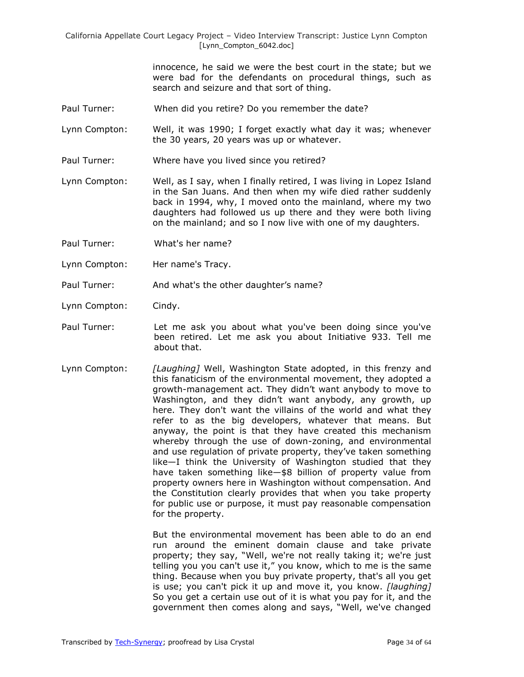> innocence, he said we were the best court in the state; but we were bad for the defendants on procedural things, such as search and seizure and that sort of thing.

Paul Turner: When did you retire? Do you remember the date?

Lynn Compton: Well, it was 1990; I forget exactly what day it was; whenever the 30 years, 20 years was up or whatever.

Paul Turner: Where have you lived since you retired?

Lynn Compton: Well, as I say, when I finally retired, I was living in Lopez Island in the San Juans. And then when my wife died rather suddenly back in 1994, why, I moved onto the mainland, where my two daughters had followed us up there and they were both living on the mainland; and so I now live with one of my daughters.

Paul Turner: What's her name?

Lynn Compton: Her name's Tracy.

Paul Turner: And what's the other daughter's name?

Lynn Compton: Cindy.

- Paul Turner: Let me ask you about what you've been doing since you've been retired. Let me ask you about Initiative 933. Tell me about that.
- Lynn Compton: *[Laughing]* Well, Washington State adopted, in this frenzy and this fanaticism of the environmental movement, they adopted a growth-management act. They didn't want anybody to move to Washington, and they didn't want anybody, any growth, up here. They don't want the villains of the world and what they refer to as the big developers, whatever that means. But anyway, the point is that they have created this mechanism whereby through the use of down-zoning, and environmental and use regulation of private property, they've taken something like—I think the University of Washington studied that they have taken something like—\$8 billion of property value from property owners here in Washington without compensation. And the Constitution clearly provides that when you take property for public use or purpose, it must pay reasonable compensation for the property.

But the environmental movement has been able to do an end run around the eminent domain clause and take private property; they say, "Well, we're not really taking it; we're just telling you you can't use it," you know, which to me is the same thing. Because when you buy private property, that's all you get is use; you can't pick it up and move it, you know. *[laughing]* So you get a certain use out of it is what you pay for it, and the government then comes along and says, "Well, we've changed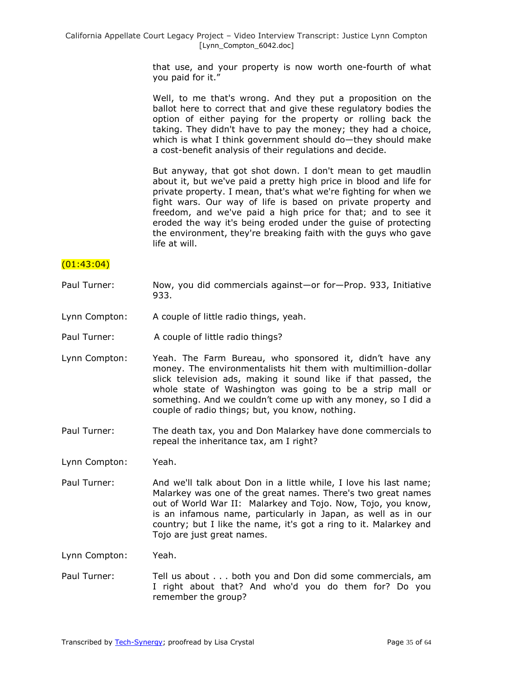that use, and your property is now worth one-fourth of what you paid for it."

Well, to me that's wrong. And they put a proposition on the ballot here to correct that and give these regulatory bodies the option of either paying for the property or rolling back the taking. They didn't have to pay the money; they had a choice, which is what I think government should do—they should make a cost-benefit analysis of their regulations and decide.

But anyway, that got shot down. I don't mean to get maudlin about it, but we've paid a pretty high price in blood and life for private property. I mean, that's what we're fighting for when we fight wars. Our way of life is based on private property and freedom, and we've paid a high price for that; and to see it eroded the way it's being eroded under the guise of protecting the environment, they're breaking faith with the guys who gave life at will.

## $(01:43:04)$

- Paul Turner: Now, you did commercials against—or for—Prop. 933, Initiative 933.
- Lynn Compton: A couple of little radio things, yeah.
- Paul Turner: A couple of little radio things?
- Lynn Compton: Yeah. The Farm Bureau, who sponsored it, didn't have any money. The environmentalists hit them with multimillion-dollar slick television ads, making it sound like if that passed, the whole state of Washington was going to be a strip mall or something. And we couldn't come up with any money, so I did a couple of radio things; but, you know, nothing.
- Paul Turner: The death tax, you and Don Malarkey have done commercials to repeal the inheritance tax, am I right?

Lynn Compton: Yeah.

Paul Turner: And we'll talk about Don in a little while, I love his last name; Malarkey was one of the great names. There's two great names out of World War II: Malarkey and Tojo. Now, Tojo, you know, is an infamous name, particularly in Japan, as well as in our country; but I like the name, it's got a ring to it. Malarkey and Tojo are just great names.

Lynn Compton: Yeah.

Paul Turner: Tell us about . . . both you and Don did some commercials, am I right about that? And who'd you do them for? Do you remember the group?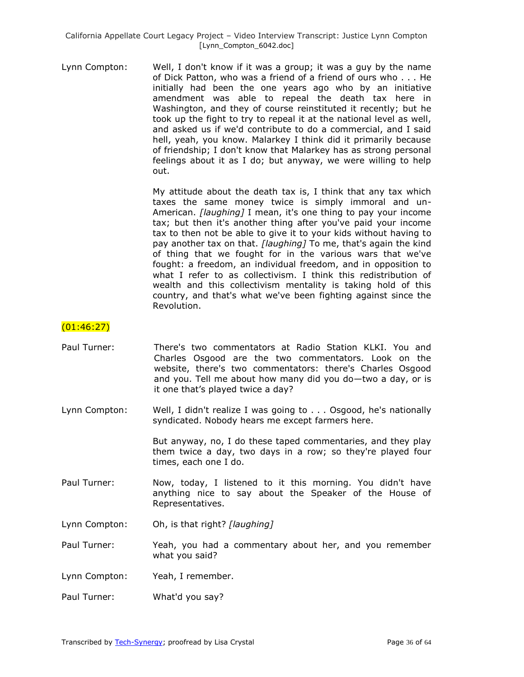Lynn Compton: Well, I don't know if it was a group; it was a guy by the name of Dick Patton, who was a friend of a friend of ours who . . . He initially had been the one years ago who by an initiative amendment was able to repeal the death tax here in Washington, and they of course reinstituted it recently; but he took up the fight to try to repeal it at the national level as well, and asked us if we'd contribute to do a commercial, and I said hell, yeah, you know. Malarkey I think did it primarily because of friendship; I don't know that Malarkey has as strong personal feelings about it as I do; but anyway, we were willing to help out.

> My attitude about the death tax is, I think that any tax which taxes the same money twice is simply immoral and un-American. *[laughing]* I mean, it's one thing to pay your income tax; but then it's another thing after you've paid your income tax to then not be able to give it to your kids without having to pay another tax on that. *[laughing]* To me, that's again the kind of thing that we fought for in the various wars that we've fought: a freedom, an individual freedom, and in opposition to what I refer to as collectivism. I think this redistribution of wealth and this collectivism mentality is taking hold of this country, and that's what we've been fighting against since the Revolution.

## (01:46:27)

- Paul Turner: There's two commentators at Radio Station KLKI. You and Charles Osgood are the two commentators. Look on the website, there's two commentators: there's Charles Osgood and you. Tell me about how many did you do—two a day, or is it one that's played twice a day?
- Lynn Compton: Well, I didn't realize I was going to . . . Osgood, he's nationally syndicated. Nobody hears me except farmers here.

But anyway, no, I do these taped commentaries, and they play them twice a day, two days in a row; so they're played four times, each one I do.

Paul Turner: Now, today, I listened to it this morning. You didn't have anything nice to say about the Speaker of the House of Representatives.

Lynn Compton: Oh, is that right? *[laughing]*

- Paul Turner: Yeah, you had a commentary about her, and you remember what you said?
- Lynn Compton: Yeah, I remember.
- Paul Turner: What'd you say?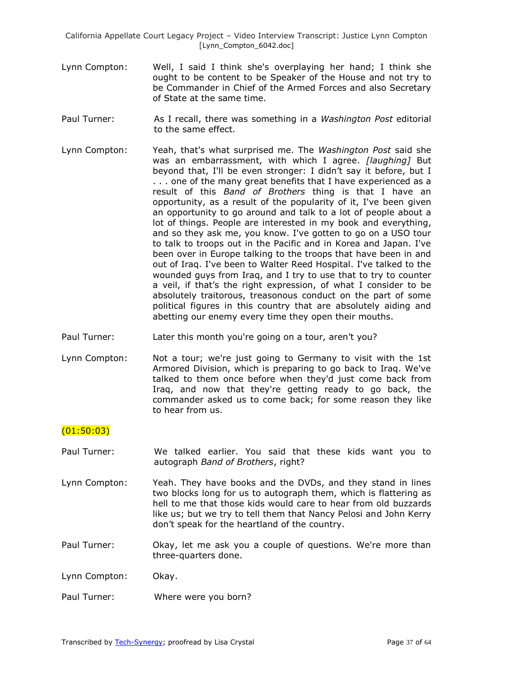- Lynn Compton: Well, I said I think she's overplaying her hand; I think she ought to be content to be Speaker of the House and not try to be Commander in Chief of the Armed Forces and also Secretary of State at the same time.
- Paul Turner: As I recall, there was something in a *Washington Post* editorial to the same effect.
- Lynn Compton: Yeah, that's what surprised me. The *Washington Post* said she was an embarrassment, with which I agree. *[laughing]* But beyond that, I'll be even stronger: I didn't say it before, but I . . . one of the many great benefits that I have experienced as a result of this *Band of Brothers* thing is that I have an opportunity, as a result of the popularity of it, I've been given an opportunity to go around and talk to a lot of people about a lot of things. People are interested in my book and everything, and so they ask me, you know. I've gotten to go on a USO tour to talk to troops out in the Pacific and in Korea and Japan. I've been over in Europe talking to the troops that have been in and out of Iraq. I've been to Walter Reed Hospital. I've talked to the wounded guys from Iraq, and I try to use that to try to counter a veil, if that's the right expression, of what I consider to be absolutely traitorous, treasonous conduct on the part of some political figures in this country that are absolutely aiding and abetting our enemy every time they open their mouths.
- Paul Turner: Later this month you're going on a tour, aren't you?
- Lynn Compton: Not a tour; we're just going to Germany to visit with the 1st Armored Division, which is preparing to go back to Iraq. We've talked to them once before when they'd just come back from Iraq, and now that they're getting ready to go back, the commander asked us to come back; for some reason they like to hear from us.

## (01:50:03)

- Paul Turner: We talked earlier. You said that these kids want you to autograph *Band of Brothers*, right?
- Lynn Compton: Yeah. They have books and the DVDs, and they stand in lines two blocks long for us to autograph them, which is flattering as hell to me that those kids would care to hear from old buzzards like us; but we try to tell them that Nancy Pelosi and John Kerry don't speak for the heartland of the country.
- Paul Turner: Okay, let me ask you a couple of questions. We're more than three-quarters done.
- Lynn Compton: Okay.
- Paul Turner: Where were you born?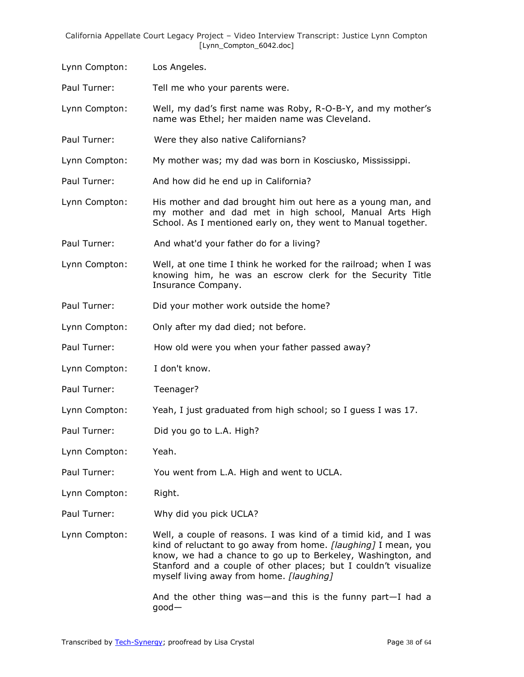- Lynn Compton: Los Angeles. Paul Turner: Tell me who your parents were. Lynn Compton: Well, my dad's first name was Roby, R-O-B-Y, and my mother's name was Ethel; her maiden name was Cleveland.
- Paul Turner: Were they also native Californians?
- Lynn Compton: My mother was; my dad was born in Kosciusko, Mississippi.
- Paul Turner: And how did he end up in California?
- Lynn Compton: His mother and dad brought him out here as a young man, and my mother and dad met in high school, Manual Arts High School. As I mentioned early on, they went to Manual together.
- Paul Turner: And what'd your father do for a living?
- Lynn Compton: Well, at one time I think he worked for the railroad; when I was knowing him, he was an escrow clerk for the Security Title Insurance Company.
- Paul Turner: Did your mother work outside the home?
- Lynn Compton: Only after my dad died; not before.
- Paul Turner: How old were you when your father passed away?
- Lynn Compton: I don't know.
- Paul Turner: Teenager?
- Lynn Compton: Yeah, I just graduated from high school; so I guess I was 17.
- Paul Turner: Did you go to L.A. High?
- Lynn Compton: Yeah.
- Paul Turner: You went from L.A. High and went to UCLA.
- Lynn Compton: Right.
- Paul Turner: Why did you pick UCLA?
- Lynn Compton: Well, a couple of reasons. I was kind of a timid kid, and I was kind of reluctant to go away from home. *[laughing]* I mean, you know, we had a chance to go up to Berkeley, Washington, and Stanford and a couple of other places; but I couldn't visualize myself living away from home. *[laughing]*

And the other thing was—and this is the funny part—I had a good—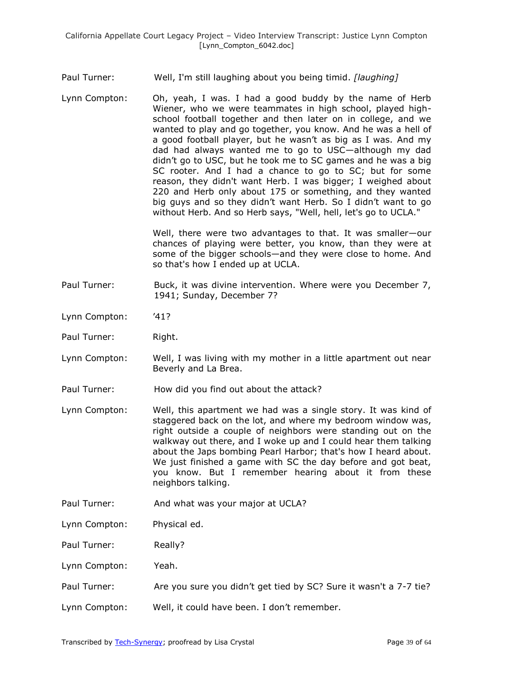## Paul Turner: Well, I'm still laughing about you being timid. *[laughing]*

Lynn Compton: Oh, yeah, I was. I had a good buddy by the name of Herb Wiener, who we were teammates in high school, played highschool football together and then later on in college, and we wanted to play and go together, you know. And he was a hell of a good football player, but he wasn't as big as I was. And my dad had always wanted me to go to USC—although my dad didn't go to USC, but he took me to SC games and he was a big SC rooter. And I had a chance to go to SC; but for some reason, they didn't want Herb. I was bigger; I weighed about 220 and Herb only about 175 or something, and they wanted big guys and so they didn't want Herb. So I didn't want to go without Herb. And so Herb says, "Well, hell, let's go to UCLA."

> Well, there were two advantages to that. It was smaller—our chances of playing were better, you know, than they were at some of the bigger schools—and they were close to home. And so that's how I ended up at UCLA.

- Paul Turner: Buck, it was divine intervention. Where were you December 7, 1941; Sunday, December 7?
- Lynn Compton: '41?
- Paul Turner: Right.
- Lynn Compton: Well, I was living with my mother in a little apartment out near Beverly and La Brea.
- Paul Turner: How did you find out about the attack?
- Lynn Compton: Well, this apartment we had was a single story. It was kind of staggered back on the lot, and where my bedroom window was, right outside a couple of neighbors were standing out on the walkway out there, and I woke up and I could hear them talking about the Japs bombing Pearl Harbor; that's how I heard about. We just finished a game with SC the day before and got beat, you know. But I remember hearing about it from these neighbors talking.
- Paul Turner: And what was your major at UCLA?
- Lynn Compton: Physical ed.
- Paul Turner: Really?
- Lynn Compton: Yeah.
- Paul Turner: Are you sure you didn't get tied by SC? Sure it wasn't a 7-7 tie?
- Lynn Compton: Well, it could have been. I don't remember.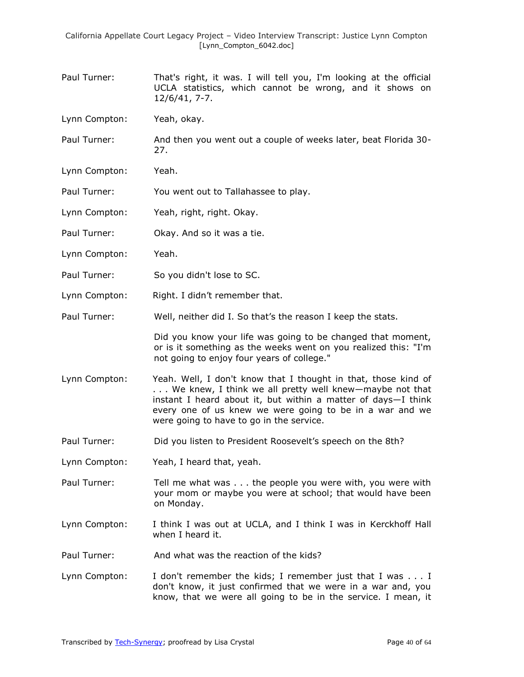- Paul Turner: That's right, it was. I will tell you, I'm looking at the official UCLA statistics, which cannot be wrong, and it shows on 12/6/41, 7-7.
- Lynn Compton: Yeah, okay.
- Paul Turner: And then you went out a couple of weeks later, beat Florida 30- 27.
- Lynn Compton: Yeah.
- Paul Turner: You went out to Tallahassee to play.
- Lynn Compton: Yeah, right, right. Okay.
- Paul Turner: Okay. And so it was a tie.
- Lynn Compton: Yeah.
- Paul Turner: So you didn't lose to SC.
- Lynn Compton: Right. I didn't remember that.
- Paul Turner: Well, neither did I. So that's the reason I keep the stats.

Did you know your life was going to be changed that moment, or is it something as the weeks went on you realized this: "I'm not going to enjoy four years of college."

- Lynn Compton: Yeah. Well, I don't know that I thought in that, those kind of . . . We knew, I think we all pretty well knew—maybe not that instant I heard about it, but within a matter of days—I think every one of us knew we were going to be in a war and we were going to have to go in the service.
- Paul Turner: Did you listen to President Roosevelt's speech on the 8th?
- Lynn Compton: Yeah, I heard that, yeah.
- Paul Turner: Tell me what was . . . the people you were with, you were with your mom or maybe you were at school; that would have been on Monday.
- Lynn Compton: I think I was out at UCLA, and I think I was in Kerckhoff Hall when I heard it.
- Paul Turner: And what was the reaction of the kids?
- Lynn Compton: I don't remember the kids; I remember just that I was . . . I don't know, it just confirmed that we were in a war and, you know, that we were all going to be in the service. I mean, it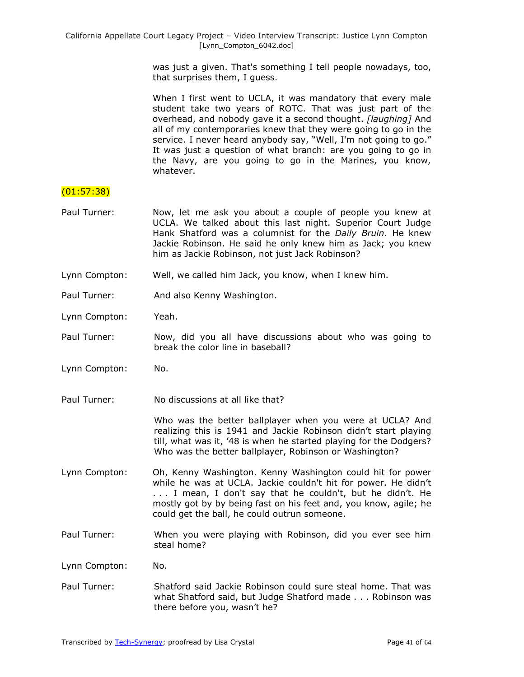was just a given. That's something I tell people nowadays, too, that surprises them, I guess.

When I first went to UCLA, it was mandatory that every male student take two years of ROTC. That was just part of the overhead, and nobody gave it a second thought. *[laughing]* And all of my contemporaries knew that they were going to go in the service. I never heard anybody say, "Well, I'm not going to go." It was just a question of what branch: are you going to go in the Navy, are you going to go in the Marines, you know, whatever.

## (01:57:38)

- Paul Turner: Now, let me ask you about a couple of people you knew at UCLA. We talked about this last night. Superior Court Judge Hank Shatford was a columnist for the *Daily Bruin*. He knew Jackie Robinson. He said he only knew him as Jack; you knew him as Jackie Robinson, not just Jack Robinson?
- Lynn Compton: Well, we called him Jack, you know, when I knew him.
- Paul Turner: And also Kenny Washington.
- Lynn Compton: Yeah.
- Paul Turner: Now, did you all have discussions about who was going to break the color line in baseball?
- Lynn Compton: No.
- Paul Turner: No discussions at all like that?

Who was the better ballplayer when you were at UCLA? And realizing this is 1941 and Jackie Robinson didn't start playing till, what was it, '48 is when he started playing for the Dodgers? Who was the better ballplayer, Robinson or Washington?

- Lynn Compton: Oh, Kenny Washington. Kenny Washington could hit for power while he was at UCLA. Jackie couldn't hit for power. He didn't . . . I mean, I don't say that he couldn't, but he didn't. He mostly got by by being fast on his feet and, you know, agile; he could get the ball, he could outrun someone.
- Paul Turner: When you were playing with Robinson, did you ever see him steal home?
- Lynn Compton: No.
- Paul Turner: Shatford said Jackie Robinson could sure steal home. That was what Shatford said, but Judge Shatford made . . . Robinson was there before you, wasn't he?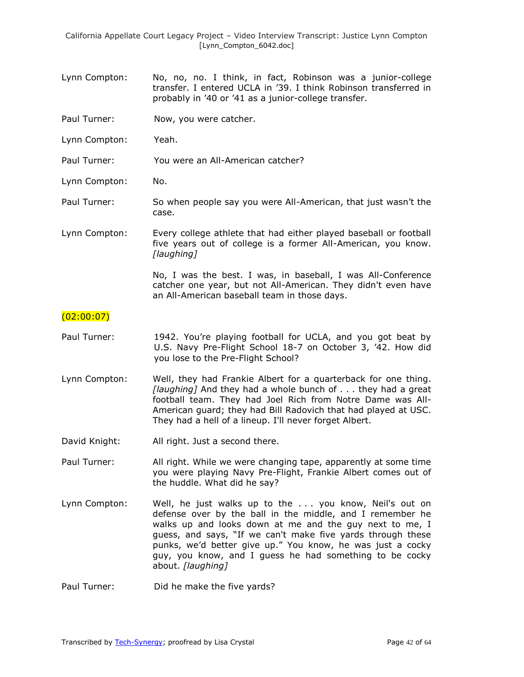- Lynn Compton: No, no, no. I think, in fact, Robinson was a junior-college transfer. I entered UCLA in '39. I think Robinson transferred in probably in '40 or '41 as a junior-college transfer.
- Paul Turner: Now, you were catcher.
- Lynn Compton: Yeah.
- Paul Turner: You were an All-American catcher?
- Lynn Compton: No.
- Paul Turner: So when people say you were All-American, that just wasn't the case.
- Lynn Compton: Every college athlete that had either played baseball or football five years out of college is a former All-American, you know. *[laughing]*

No, I was the best. I was, in baseball, I was All-Conference catcher one year, but not All-American. They didn't even have an All-American baseball team in those days.

### $(02:00:07)$

- Paul Turner: 1942. You're playing football for UCLA, and you got beat by U.S. Navy Pre-Flight School 18-7 on October 3, '42. How did you lose to the Pre-Flight School?
- Lynn Compton: Well, they had Frankie Albert for a quarterback for one thing. *[laughing]* And they had a whole bunch of . . . they had a great football team. They had Joel Rich from Notre Dame was All-American guard; they had Bill Radovich that had played at USC. They had a hell of a lineup. I'll never forget Albert.
- David Knight: All right. Just a second there.
- Paul Turner: All right. While we were changing tape, apparently at some time you were playing Navy Pre-Flight, Frankie Albert comes out of the huddle. What did he say?
- Lynn Compton: Well, he just walks up to the ... you know, Neil's out on defense over by the ball in the middle, and I remember he walks up and looks down at me and the guy next to me, I guess, and says, "If we can't make five yards through these punks, we'd better give up." You know, he was just a cocky guy, you know, and I guess he had something to be cocky about. *[laughing]*

Paul Turner: Did he make the five yards?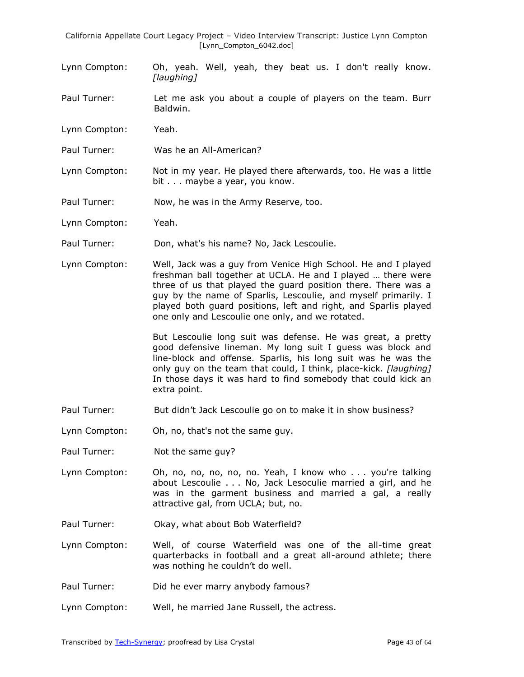- Lynn Compton: Oh, yeah. Well, yeah, they beat us. I don't really know. *[laughing]*
- Paul Turner: Let me ask you about a couple of players on the team. Burr Baldwin.
- Lynn Compton: Yeah.
- Paul Turner: Was he an All-American?
- Lynn Compton: Not in my year. He played there afterwards, too. He was a little bit . . . maybe a year, you know.
- Paul Turner: Now, he was in the Army Reserve, too.
- Lynn Compton: Yeah.
- Paul Turner: Don, what's his name? No, Jack Lescoulie.
- Lynn Compton: Well, Jack was a guy from Venice High School. He and I played freshman ball together at UCLA. He and I played … there were three of us that played the guard position there. There was a guy by the name of Sparlis, Lescoulie, and myself primarily. I played both guard positions, left and right, and Sparlis played one only and Lescoulie one only, and we rotated.

But Lescoulie long suit was defense. He was great, a pretty good defensive lineman. My long suit I guess was block and line-block and offense. Sparlis, his long suit was he was the only guy on the team that could, I think, place-kick. *[laughing]* In those days it was hard to find somebody that could kick an extra point.

- Paul Turner: But didn't Jack Lescoulie go on to make it in show business?
- Lynn Compton: Oh, no, that's not the same guy.
- Paul Turner: Not the same guy?
- Lynn Compton: Oh, no, no, no, no, no. Yeah, I know who . . . you're talking about Lescoulie . . . No, Jack Lesoculie married a girl, and he was in the garment business and married a gal, a really attractive gal, from UCLA; but, no.
- Paul Turner: Okay, what about Bob Waterfield?
- Lynn Compton: Well, of course Waterfield was one of the all-time great quarterbacks in football and a great all-around athlete; there was nothing he couldn't do well.
- Paul Turner: Did he ever marry anybody famous?
- Lynn Compton: Well, he married Jane Russell, the actress.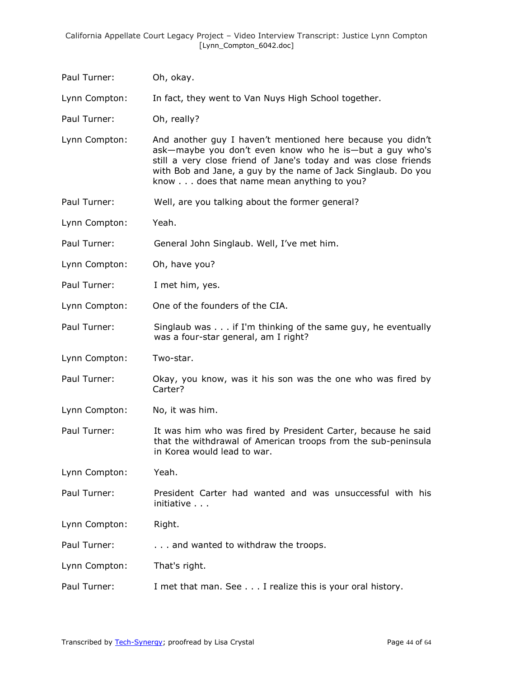| Paul Turner:  | Oh, okay.                                                                                                                                                                                                                                                                                               |
|---------------|---------------------------------------------------------------------------------------------------------------------------------------------------------------------------------------------------------------------------------------------------------------------------------------------------------|
| Lynn Compton: | In fact, they went to Van Nuys High School together.                                                                                                                                                                                                                                                    |
| Paul Turner:  | Oh, really?                                                                                                                                                                                                                                                                                             |
| Lynn Compton: | And another guy I haven't mentioned here because you didn't<br>ask-maybe you don't even know who he is-but a guy who's<br>still a very close friend of Jane's today and was close friends<br>with Bob and Jane, a guy by the name of Jack Singlaub. Do you<br>know does that name mean anything to you? |
| Paul Turner:  | Well, are you talking about the former general?                                                                                                                                                                                                                                                         |
| Lynn Compton: | Yeah.                                                                                                                                                                                                                                                                                                   |
| Paul Turner:  | General John Singlaub. Well, I've met him.                                                                                                                                                                                                                                                              |
| Lynn Compton: | Oh, have you?                                                                                                                                                                                                                                                                                           |
| Paul Turner:  | I met him, yes.                                                                                                                                                                                                                                                                                         |
| Lynn Compton: | One of the founders of the CIA.                                                                                                                                                                                                                                                                         |
| Paul Turner:  | Singlaub was if I'm thinking of the same guy, he eventually<br>was a four-star general, am I right?                                                                                                                                                                                                     |
| Lynn Compton: | Two-star.                                                                                                                                                                                                                                                                                               |
| Paul Turner:  | Okay, you know, was it his son was the one who was fired by<br>Carter?                                                                                                                                                                                                                                  |
| Lynn Compton: | No, it was him.                                                                                                                                                                                                                                                                                         |
| Paul Turner:  | It was him who was fired by President Carter, because he said<br>that the withdrawal of American troops from the sub-peninsula<br>in Korea would lead to war.                                                                                                                                           |
| Lynn Compton: | Yeah.                                                                                                                                                                                                                                                                                                   |
| Paul Turner:  | President Carter had wanted and was unsuccessful with his<br>initiative                                                                                                                                                                                                                                 |
| Lynn Compton: | Right.                                                                                                                                                                                                                                                                                                  |
| Paul Turner:  | and wanted to withdraw the troops.                                                                                                                                                                                                                                                                      |
| Lynn Compton: | That's right.                                                                                                                                                                                                                                                                                           |
| Paul Turner:  | I met that man. See I realize this is your oral history.                                                                                                                                                                                                                                                |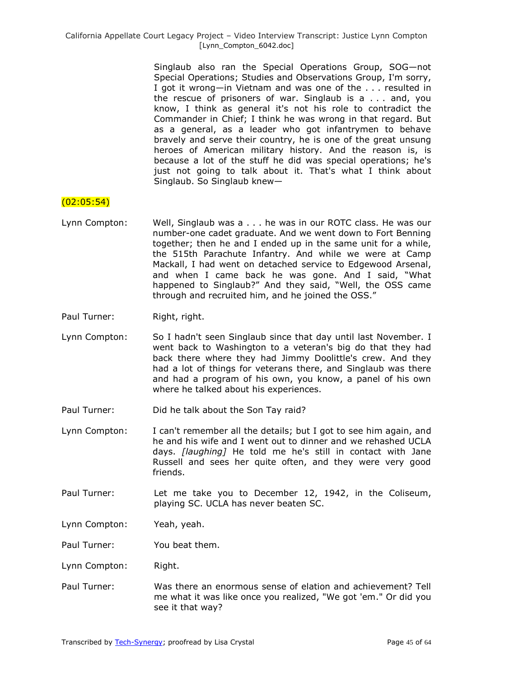> Singlaub also ran the Special Operations Group, SOG—not Special Operations; Studies and Observations Group, I'm sorry, I got it wrong—in Vietnam and was one of the . . . resulted in the rescue of prisoners of war. Singlaub is a . . . and, you know, I think as general it's not his role to contradict the Commander in Chief; I think he was wrong in that regard. But as a general, as a leader who got infantrymen to behave bravely and serve their country, he is one of the great unsung heroes of American military history. And the reason is, is because a lot of the stuff he did was special operations; he's just not going to talk about it. That's what I think about Singlaub. So Singlaub knew—

## $(02:05:54)$

- Lynn Compton: Well, Singlaub was a . . . he was in our ROTC class. He was our number-one cadet graduate. And we went down to Fort Benning together; then he and I ended up in the same unit for a while, the 515th Parachute Infantry. And while we were at Camp Mackall, I had went on detached service to Edgewood Arsenal, and when I came back he was gone. And I said, "What happened to Singlaub?" And they said, "Well, the OSS came through and recruited him, and he joined the OSS."
- Paul Turner: Right, right.
- Lynn Compton: So I hadn't seen Singlaub since that day until last November. I went back to Washington to a veteran's big do that they had back there where they had Jimmy Doolittle's crew. And they had a lot of things for veterans there, and Singlaub was there and had a program of his own, you know, a panel of his own where he talked about his experiences.
- Paul Turner: Did he talk about the Son Tay raid?
- Lynn Compton: I can't remember all the details; but I got to see him again, and he and his wife and I went out to dinner and we rehashed UCLA days. *[laughing]* He told me he's still in contact with Jane Russell and sees her quite often, and they were very good friends.
- Paul Turner: Let me take you to December 12, 1942, in the Coliseum, playing SC. UCLA has never beaten SC.
- Lynn Compton: Yeah, yeah.

Paul Turner: You beat them.

- Lynn Compton: Right.
- Paul Turner: Was there an enormous sense of elation and achievement? Tell me what it was like once you realized, "We got 'em." Or did you see it that way?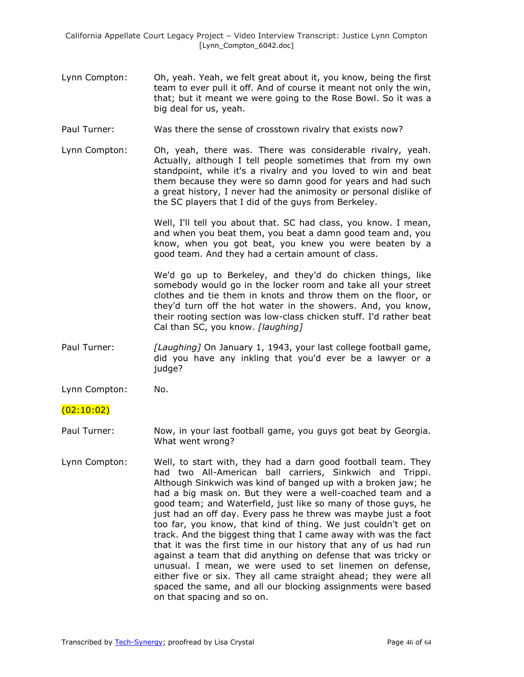- Lynn Compton: Oh, yeah. Yeah, we felt great about it, you know, being the first team to ever pull it off. And of course it meant not only the win, that; but it meant we were going to the Rose Bowl. So it was a big deal for us, yeah.
- Paul Turner: Was there the sense of crosstown rivalry that exists now?
- Lynn Compton: Oh, yeah, there was. There was considerable rivalry, yeah. Actually, although I tell people sometimes that from my own standpoint, while it's a rivalry and you loved to win and beat them because they were so damn good for years and had such a great history, I never had the animosity or personal dislike of the SC players that I did of the guys from Berkeley.

Well, I'll tell you about that. SC had class, you know. I mean, and when you beat them, you beat a damn good team and, you know, when you got beat, you knew you were beaten by a good team. And they had a certain amount of class.

We'd go up to Berkeley, and they'd do chicken things, like somebody would go in the locker room and take all your street clothes and tie them in knots and throw them on the floor, or they'd turn off the hot water in the showers. And, you know, their rooting section was low-class chicken stuff. I'd rather beat Cal than SC, you know. *[laughing]*

- Paul Turner: *[Laughing]* On January 1, 1943, your last college football game, did you have any inkling that you'd ever be a lawyer or a judge?
- Lynn Compton: No.

#### $(02:10:02)$

- Paul Turner: Now, in your last football game, you guys got beat by Georgia. What went wrong?
- Lynn Compton: Well, to start with, they had a darn good football team. They had two All-American ball carriers, Sinkwich and Trippi. Although Sinkwich was kind of banged up with a broken jaw; he had a big mask on. But they were a well-coached team and a good team; and Waterfield, just like so many of those guys, he just had an off day. Every pass he threw was maybe just a foot too far, you know, that kind of thing. We just couldn't get on track. And the biggest thing that I came away with was the fact that it was the first time in our history that any of us had run against a team that did anything on defense that was tricky or unusual. I mean, we were used to set linemen on defense, either five or six. They all came straight ahead; they were all spaced the same, and all our blocking assignments were based on that spacing and so on.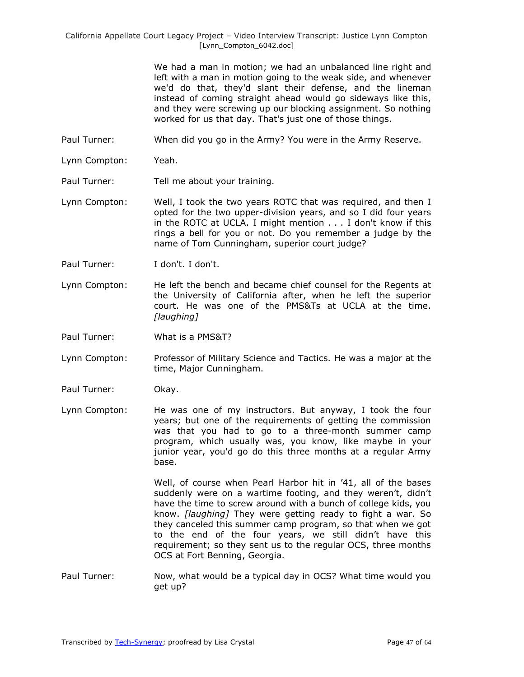> We had a man in motion; we had an unbalanced line right and left with a man in motion going to the weak side, and whenever we'd do that, they'd slant their defense, and the lineman instead of coming straight ahead would go sideways like this, and they were screwing up our blocking assignment. So nothing worked for us that day. That's just one of those things.

- Paul Turner: When did you go in the Army? You were in the Army Reserve.
- Lynn Compton: Yeah.
- Paul Turner: Tell me about your training.
- Lynn Compton: Well, I took the two years ROTC that was required, and then I opted for the two upper-division years, and so I did four years in the ROTC at UCLA. I might mention . . . I don't know if this rings a bell for you or not. Do you remember a judge by the name of Tom Cunningham, superior court judge?
- Paul Turner: I don't. I don't.
- Lynn Compton: He left the bench and became chief counsel for the Regents at the University of California after, when he left the superior court. He was one of the PMS&Ts at UCLA at the time. *[laughing]*
- Paul Turner: What is a PMS&T?
- Lynn Compton: Professor of Military Science and Tactics. He was a major at the time, Major Cunningham.
- Paul Turner: Okay.
- Lynn Compton: He was one of my instructors. But anyway, I took the four years; but one of the requirements of getting the commission was that you had to go to a three-month summer camp program, which usually was, you know, like maybe in your junior year, you'd go do this three months at a regular Army base.

Well, of course when Pearl Harbor hit in '41, all of the bases suddenly were on a wartime footing, and they weren't, didn't have the time to screw around with a bunch of college kids, you know. *[laughing]* They were getting ready to fight a war. So they canceled this summer camp program, so that when we got to the end of the four years, we still didn't have this requirement; so they sent us to the regular OCS, three months OCS at Fort Benning, Georgia.

Paul Turner: Now, what would be a typical day in OCS? What time would you get up?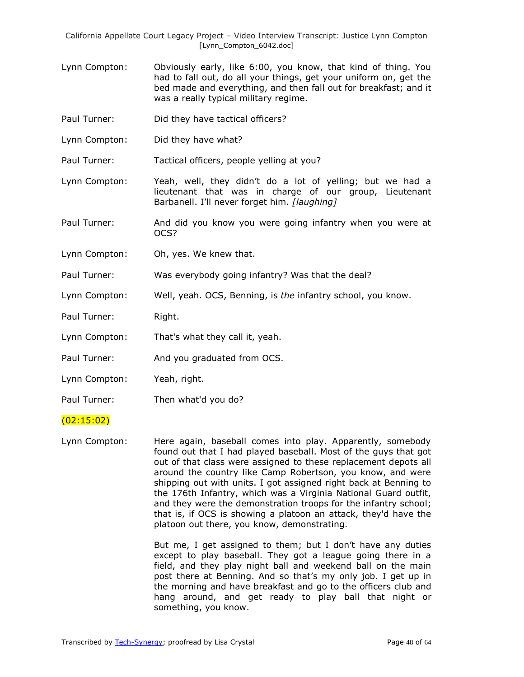- Lynn Compton: Obviously early, like 6:00, you know, that kind of thing. You had to fall out, do all your things, get your uniform on, get the bed made and everything, and then fall out for breakfast; and it was a really typical military regime.
- Paul Turner: Did they have tactical officers?
- Lynn Compton: Did they have what?

Paul Turner: Tactical officers, people yelling at you?

- Lynn Compton: Yeah, well, they didn't do a lot of yelling; but we had a lieutenant that was in charge of our group, Lieutenant Barbanell. I'll never forget him. *[laughing]*
- Paul Turner: And did you know you were going infantry when you were at OCS?
- Lynn Compton: Oh, yes. We knew that.

Paul Turner: Was everybody going infantry? Was that the deal?

- Lynn Compton: Well, yeah. OCS, Benning, is *the* infantry school, you know.
- Paul Turner: Right.
- Lynn Compton: That's what they call it, yeah.
- Paul Turner: And you graduated from OCS.
- Lynn Compton: Yeah, right.
- Paul Turner: Then what'd you do?

#### (02:15:02)

Lynn Compton: Here again, baseball comes into play. Apparently, somebody found out that I had played baseball. Most of the guys that got out of that class were assigned to these replacement depots all around the country like Camp Robertson, you know, and were shipping out with units. I got assigned right back at Benning to the 176th Infantry, which was a Virginia National Guard outfit, and they were the demonstration troops for the infantry school; that is, if OCS is showing a platoon an attack, they'd have the platoon out there, you know, demonstrating.

> But me, I get assigned to them; but I don't have any duties except to play baseball. They got a league going there in a field, and they play night ball and weekend ball on the main post there at Benning. And so that's my only job. I get up in the morning and have breakfast and go to the officers club and hang around, and get ready to play ball that night or something, you know.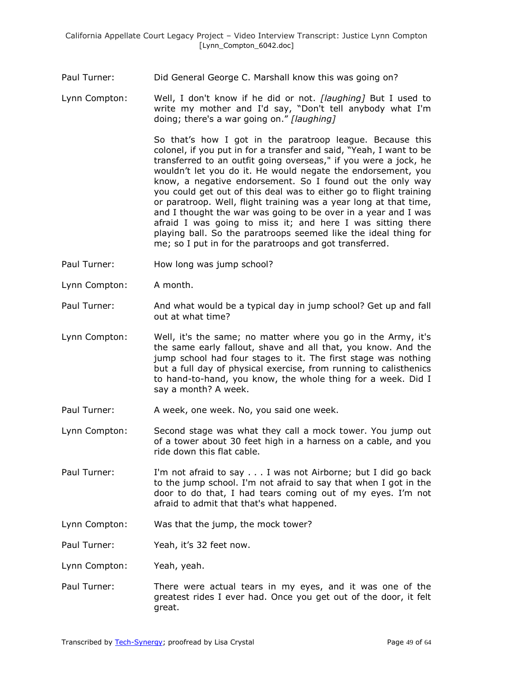Paul Turner: Did General George C. Marshall know this was going on?

Lynn Compton: Well, I don't know if he did or not. *[laughing]* But I used to write my mother and I'd say, "Don't tell anybody what I'm doing; there's a war going on." [laughing]

> So that's how I got in the paratroop league. Because this colonel, if you put in for a transfer and said, "Yeah, I want to be transferred to an outfit going overseas," if you were a jock, he wouldn't let you do it. He would negate the endorsement, you know, a negative endorsement. So I found out the only way you could get out of this deal was to either go to flight training or paratroop. Well, flight training was a year long at that time, and I thought the war was going to be over in a year and I was afraid I was going to miss it; and here I was sitting there playing ball. So the paratroops seemed like the ideal thing for me; so I put in for the paratroops and got transferred.

- Paul Turner: How long was jump school?
- Lynn Compton: A month.
- Paul Turner: And what would be a typical day in jump school? Get up and fall out at what time?
- Lynn Compton: Well, it's the same; no matter where you go in the Army, it's the same early fallout, shave and all that, you know. And the jump school had four stages to it. The first stage was nothing but a full day of physical exercise, from running to calisthenics to hand-to-hand, you know, the whole thing for a week. Did I say a month? A week.
- Paul Turner: A week, one week. No, you said one week.
- Lynn Compton: Second stage was what they call a mock tower. You jump out of a tower about 30 feet high in a harness on a cable, and you ride down this flat cable.
- Paul Turner: I'm not afraid to say . . . I was not Airborne; but I did go back to the jump school. I'm not afraid to say that when I got in the door to do that, I had tears coming out of my eyes. I'm not afraid to admit that that's what happened.
- Lynn Compton: Was that the jump, the mock tower?
- Paul Turner: Yeah, it's 32 feet now.
- Lynn Compton: Yeah, yeah.
- Paul Turner: There were actual tears in my eyes, and it was one of the greatest rides I ever had. Once you get out of the door, it felt great.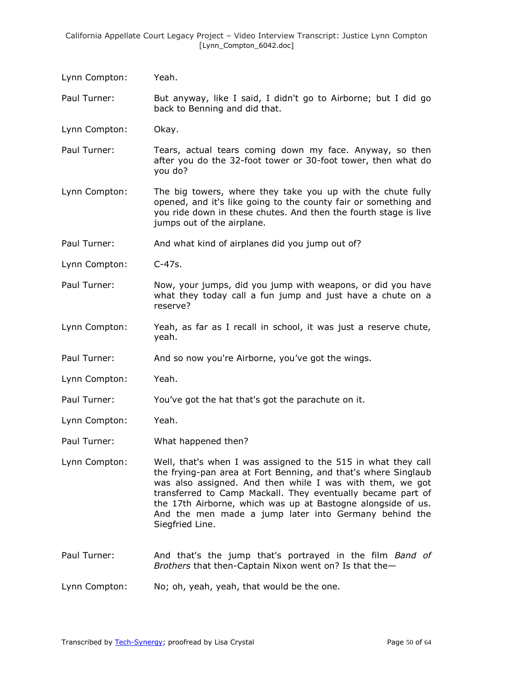| Lynn Compton: | Yeah.                                                                                                                                                                                                                                                                                                                                                                                                   |
|---------------|---------------------------------------------------------------------------------------------------------------------------------------------------------------------------------------------------------------------------------------------------------------------------------------------------------------------------------------------------------------------------------------------------------|
| Paul Turner:  | But anyway, like I said, I didn't go to Airborne; but I did go<br>back to Benning and did that.                                                                                                                                                                                                                                                                                                         |
| Lynn Compton: | Okay.                                                                                                                                                                                                                                                                                                                                                                                                   |
| Paul Turner:  | Tears, actual tears coming down my face. Anyway, so then<br>after you do the 32-foot tower or 30-foot tower, then what do<br>you do?                                                                                                                                                                                                                                                                    |
| Lynn Compton: | The big towers, where they take you up with the chute fully<br>opened, and it's like going to the county fair or something and<br>you ride down in these chutes. And then the fourth stage is live<br>jumps out of the airplane.                                                                                                                                                                        |
| Paul Turner:  | And what kind of airplanes did you jump out of?                                                                                                                                                                                                                                                                                                                                                         |
| Lynn Compton: | $C-47s.$                                                                                                                                                                                                                                                                                                                                                                                                |
| Paul Turner:  | Now, your jumps, did you jump with weapons, or did you have<br>what they today call a fun jump and just have a chute on a<br>reserve?                                                                                                                                                                                                                                                                   |
| Lynn Compton: | Yeah, as far as I recall in school, it was just a reserve chute,<br>yeah.                                                                                                                                                                                                                                                                                                                               |
| Paul Turner:  | And so now you're Airborne, you've got the wings.                                                                                                                                                                                                                                                                                                                                                       |
| Lynn Compton: | Yeah.                                                                                                                                                                                                                                                                                                                                                                                                   |
| Paul Turner:  | You've got the hat that's got the parachute on it.                                                                                                                                                                                                                                                                                                                                                      |
| Lynn Compton: | Yeah.                                                                                                                                                                                                                                                                                                                                                                                                   |
| Paul Turner:  | What happened then?                                                                                                                                                                                                                                                                                                                                                                                     |
| Lynn Compton: | Well, that's when I was assigned to the 515 in what they call<br>the frying-pan area at Fort Benning, and that's where Singlaub<br>was also assigned. And then while I was with them, we got<br>transferred to Camp Mackall. They eventually became part of<br>the 17th Airborne, which was up at Bastogne alongside of us.<br>And the men made a jump later into Germany behind the<br>Siegfried Line. |
| Paul Turner:  | And that's the jump that's portrayed in the film Band of<br>Brothers that then-Captain Nixon went on? Is that the-                                                                                                                                                                                                                                                                                      |

Lynn Compton: No; oh, yeah, yeah, that would be the one.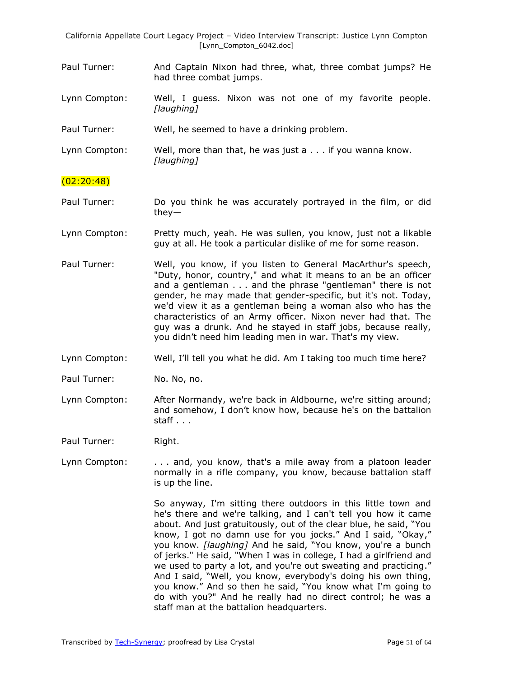- Paul Turner: And Captain Nixon had three, what, three combat jumps? He had three combat jumps.
- Lynn Compton: Well, I guess. Nixon was not one of my favorite people. *[laughing]*

Paul Turner: Well, he seemed to have a drinking problem.

Lynn Compton: Well, more than that, he was just a . . . if you wanna know. *[laughing]*

## (02:20:48)

- Paul Turner: Do you think he was accurately portrayed in the film, or did they—
- Lynn Compton: Pretty much, yeah. He was sullen, you know, just not a likable guy at all. He took a particular dislike of me for some reason.
- Paul Turner: Well, you know, if you listen to General MacArthur's speech, "Duty, honor, country," and what it means to an be an officer and a gentleman . . . and the phrase "gentleman" there is not gender, he may made that gender-specific, but it's not. Today, we'd view it as a gentleman being a woman also who has the characteristics of an Army officer. Nixon never had that. The guy was a drunk. And he stayed in staff jobs, because really, you didn't need him leading men in war. That's my view.
- Lynn Compton: Well, I'll tell you what he did. Am I taking too much time here?
- Paul Turner: No. No, no.
- Lynn Compton: After Normandy, we're back in Aldbourne, we're sitting around; and somehow, I don't know how, because he's on the battalion staff . . .

Paul Turner: Right.

Lynn Compton: ... and, you know, that's a mile away from a platoon leader normally in a rifle company, you know, because battalion staff is up the line.

> So anyway, I'm sitting there outdoors in this little town and he's there and we're talking, and I can't tell you how it came about. And just gratuitously, out of the clear blue, he said, "You know, I got no damn use for you jocks." And I said, "Okay," you know. *[laughing]* And he said, "You know, you're a bunch of jerks." He said, "When I was in college, I had a girlfriend and we used to party a lot, and you're out sweating and practicing." And I said, "Well, you know, everybody's doing his own thing, you know." And so then he said, "You know what I'm going to do with you?" And he really had no direct control; he was a staff man at the battalion headquarters.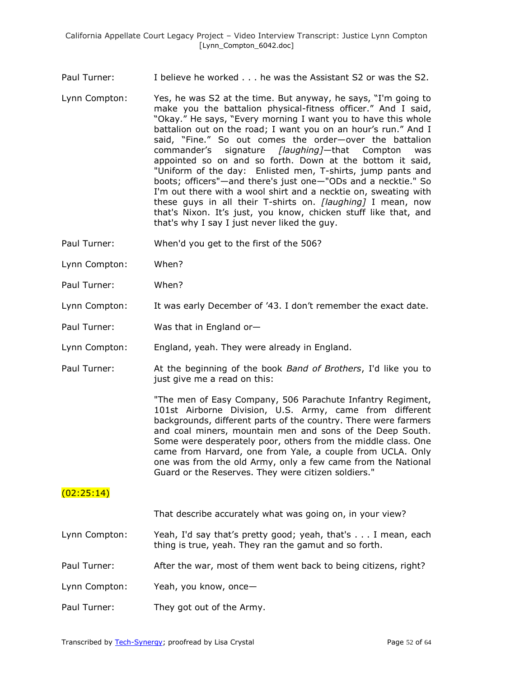Paul Turner: I believe he worked . . . he was the Assistant S2 or was the S2.

- Lynn Compton: Yes, he was S2 at the time. But anyway, he says, "I'm going to make you the battalion physical-fitness officer." And I said, "Okay." He says, "Every morning I want you to have this whole battalion out on the road; I want you on an hour's run." And I said, "Fine." So out comes the order-over the battalion commander's signature *[laughing]*—that Compton was appointed so on and so forth. Down at the bottom it said, "Uniform of the day: Enlisted men, T-shirts, jump pants and boots; officers"—and there's just one—"ODs and a necktie." So I'm out there with a wool shirt and a necktie on, sweating with these guys in all their T-shirts on. *[laughing]* I mean, now that's Nixon. It's just, you know, chicken stuff like that, and that's why I say I just never liked the guy.
- Paul Turner: When'd you get to the first of the 506?
- Lynn Compton: When?
- Paul Turner: When?
- Lynn Compton: It was early December of '43. I don't remember the exact date.
- Paul Turner: Was that in England or—
- Lynn Compton: England, yeah. They were already in England.
- Paul Turner: At the beginning of the book *Band of Brothers*, I'd like you to just give me a read on this:

"The men of Easy Company, 506 Parachute Infantry Regiment, 101st Airborne Division, U.S. Army, came from different backgrounds, different parts of the country. There were farmers and coal miners, mountain men and sons of the Deep South. Some were desperately poor, others from the middle class. One came from Harvard, one from Yale, a couple from UCLA. Only one was from the old Army, only a few came from the National Guard or the Reserves. They were citizen soldiers."

# $(02:25:14)$

That describe accurately what was going on, in your view?

- Lynn Compton: Yeah, I'd say that's pretty good; yeah, that's . . . I mean, each thing is true, yeah. They ran the gamut and so forth.
- Paul Turner: After the war, most of them went back to being citizens, right?
- Lynn Compton: Yeah, you know, once—
- Paul Turner: They got out of the Army.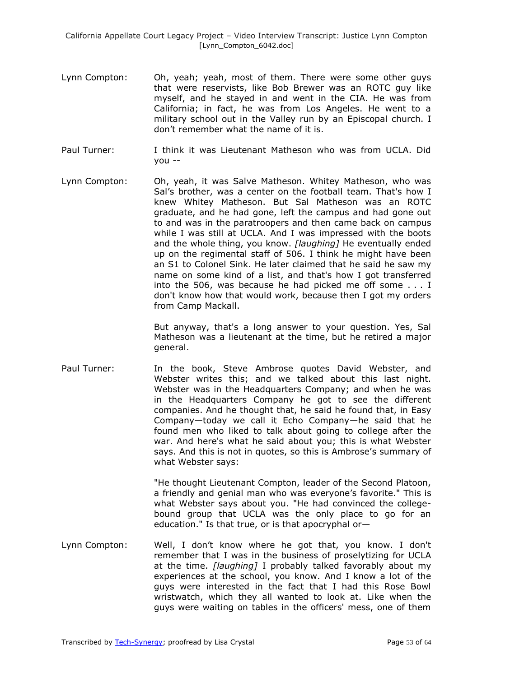- Lynn Compton: Oh, yeah; yeah, most of them. There were some other guys that were reservists, like Bob Brewer was an ROTC guy like myself, and he stayed in and went in the CIA. He was from California; in fact, he was from Los Angeles. He went to a military school out in the Valley run by an Episcopal church. I don't remember what the name of it is.
- Paul Turner: I think it was Lieutenant Matheson who was from UCLA. Did you --
- Lynn Compton: Oh, yeah, it was Salve Matheson. Whitey Matheson, who was Sal's brother, was a center on the football team. That's how I knew Whitey Matheson. But Sal Matheson was an ROTC graduate, and he had gone, left the campus and had gone out to and was in the paratroopers and then came back on campus while I was still at UCLA. And I was impressed with the boots and the whole thing, you know. *[laughing]* He eventually ended up on the regimental staff of 506. I think he might have been an S1 to Colonel Sink. He later claimed that he said he saw my name on some kind of a list, and that's how I got transferred into the 506, was because he had picked me off some . . . I don't know how that would work, because then I got my orders from Camp Mackall.

But anyway, that's a long answer to your question. Yes, Sal Matheson was a lieutenant at the time, but he retired a major general.

Paul Turner: In the book, Steve Ambrose quotes David Webster, and Webster writes this; and we talked about this last night. Webster was in the Headquarters Company; and when he was in the Headquarters Company he got to see the different companies. And he thought that, he said he found that, in Easy Company—today we call it Echo Company—he said that he found men who liked to talk about going to college after the war. And here's what he said about you; this is what Webster says. And this is not in quotes, so this is Ambrose's summary of what Webster says:

> "He thought Lieutenant Compton, leader of the Second Platoon, a friendly and genial man who was everyone's favorite." This is what Webster says about you. "He had convinced the collegebound group that UCLA was the only place to go for an education." Is that true, or is that apocryphal or—

Lynn Compton: Well, I don't know where he got that, you know. I don't remember that I was in the business of proselytizing for UCLA at the time. *[laughing]* I probably talked favorably about my experiences at the school, you know. And I know a lot of the guys were interested in the fact that I had this Rose Bowl wristwatch, which they all wanted to look at. Like when the guys were waiting on tables in the officers' mess, one of them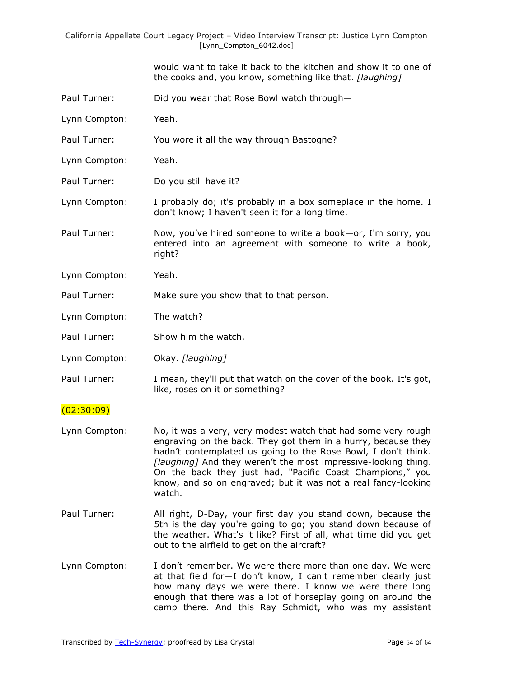> would want to take it back to the kitchen and show it to one of the cooks and, you know, something like that. *[laughing]*

- Paul Turner: Did you wear that Rose Bowl watch through—
- Lynn Compton: Yeah.
- Paul Turner: You wore it all the way through Bastogne?
- Lynn Compton: Yeah.
- Paul Turner: Do you still have it?

Lynn Compton: I probably do; it's probably in a box someplace in the home. I don't know; I haven't seen it for a long time.

Paul Turner: Now, you've hired someone to write a book—or, I'm sorry, you entered into an agreement with someone to write a book, right?

- Lynn Compton: Yeah.
- Paul Turner: Make sure you show that to that person.
- Lynn Compton: The watch?
- Paul Turner: Show him the watch.

Lynn Compton: Okay. *[laughing]*

Paul Turner: I mean, they'll put that watch on the cover of the book. It's got, like, roses on it or something?

#### $(02:30:09)$

- Lynn Compton: No, it was a very, very modest watch that had some very rough engraving on the back. They got them in a hurry, because they hadn't contemplated us going to the Rose Bowl, I don't think. *[laughing]* And they weren't the most impressive-looking thing. On the back they just had, "Pacific Coast Champions," you know, and so on engraved; but it was not a real fancy-looking watch.
- Paul Turner: All right, D-Day, your first day you stand down, because the 5th is the day you're going to go; you stand down because of the weather. What's it like? First of all, what time did you get out to the airfield to get on the aircraft?
- Lynn Compton: I don't remember. We were there more than one day. We were at that field for—I don't know, I can't remember clearly just how many days we were there. I know we were there long enough that there was a lot of horseplay going on around the camp there. And this Ray Schmidt, who was my assistant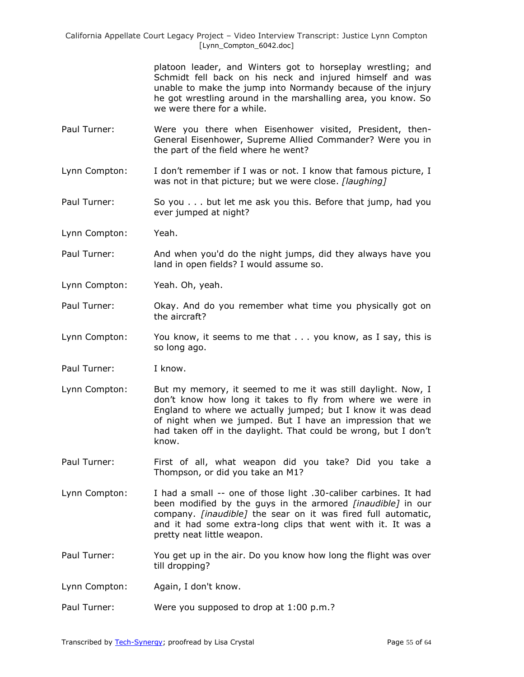> platoon leader, and Winters got to horseplay wrestling; and Schmidt fell back on his neck and injured himself and was unable to make the jump into Normandy because of the injury he got wrestling around in the marshalling area, you know. So we were there for a while.

- Paul Turner: Were you there when Eisenhower visited, President, then-General Eisenhower, Supreme Allied Commander? Were you in the part of the field where he went?
- Lynn Compton: I don't remember if I was or not. I know that famous picture, I was not in that picture; but we were close. *[laughing]*
- Paul Turner: So you . . . but let me ask you this. Before that jump, had you ever jumped at night?
- Lynn Compton: Yeah.
- Paul Turner: And when you'd do the night jumps, did they always have you land in open fields? I would assume so.
- Lynn Compton: Yeah. Oh, yeah.
- Paul Turner: Okay. And do you remember what time you physically got on the aircraft?
- Lynn Compton: You know, it seems to me that . . . you know, as I say, this is so long ago.
- Paul Turner: I know.
- Lynn Compton: But my memory, it seemed to me it was still daylight. Now, I don't know how long it takes to fly from where we were in England to where we actually jumped; but I know it was dead of night when we jumped. But I have an impression that we had taken off in the daylight. That could be wrong, but I don't know.
- Paul Turner: First of all, what weapon did you take? Did you take a Thompson, or did you take an M1?
- Lynn Compton: I had a small -- one of those light .30-caliber carbines. It had been modified by the guys in the armored *[inaudible]* in our company. *[inaudible]* the sear on it was fired full automatic, and it had some extra-long clips that went with it. It was a pretty neat little weapon.
- Paul Turner: You get up in the air. Do you know how long the flight was over till dropping?
- Lynn Compton: Again, I don't know.
- Paul Turner: Were you supposed to drop at 1:00 p.m.?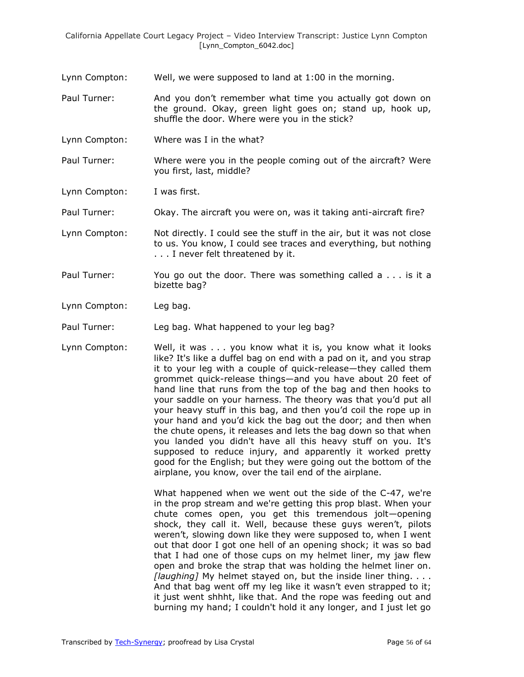- Lynn Compton: Well, we were supposed to land at 1:00 in the morning.
- Paul Turner: And you don't remember what time you actually got down on the ground. Okay, green light goes on; stand up, hook up, shuffle the door. Where were you in the stick?
- Lynn Compton: Where was I in the what?
- Paul Turner: Where were you in the people coming out of the aircraft? Were you first, last, middle?
- Lynn Compton: I was first.
- Paul Turner: Okay. The aircraft you were on, was it taking anti-aircraft fire?
- Lynn Compton: Not directly. I could see the stuff in the air, but it was not close to us. You know, I could see traces and everything, but nothing . . . I never felt threatened by it.
- Paul Turner: You go out the door. There was something called a . . . is it a bizette bag?
- Lynn Compton: Leg bag.
- Paul Turner: Leg bag. What happened to your leg bag?
- Lynn Compton: Well, it was . . . you know what it is, you know what it looks like? It's like a duffel bag on end with a pad on it, and you strap it to your leg with a couple of quick-release—they called them grommet quick-release things—and you have about 20 feet of hand line that runs from the top of the bag and then hooks to your saddle on your harness. The theory was that you'd put all your heavy stuff in this bag, and then you'd coil the rope up in your hand and you'd kick the bag out the door; and then when the chute opens, it releases and lets the bag down so that when you landed you didn't have all this heavy stuff on you. It's supposed to reduce injury, and apparently it worked pretty good for the English; but they were going out the bottom of the airplane, you know, over the tail end of the airplane.

What happened when we went out the side of the C-47, we're in the prop stream and we're getting this prop blast. When your chute comes open, you get this tremendous jolt—opening shock, they call it. Well, because these guys weren't, pilots weren't, slowing down like they were supposed to, when I went out that door I got one hell of an opening shock; it was so bad that I had one of those cups on my helmet liner, my jaw flew open and broke the strap that was holding the helmet liner on. *[laughing]* My helmet stayed on, but the inside liner thing. . . . And that bag went off my leg like it wasn't even strapped to it; it just went shhht, like that. And the rope was feeding out and burning my hand; I couldn't hold it any longer, and I just let go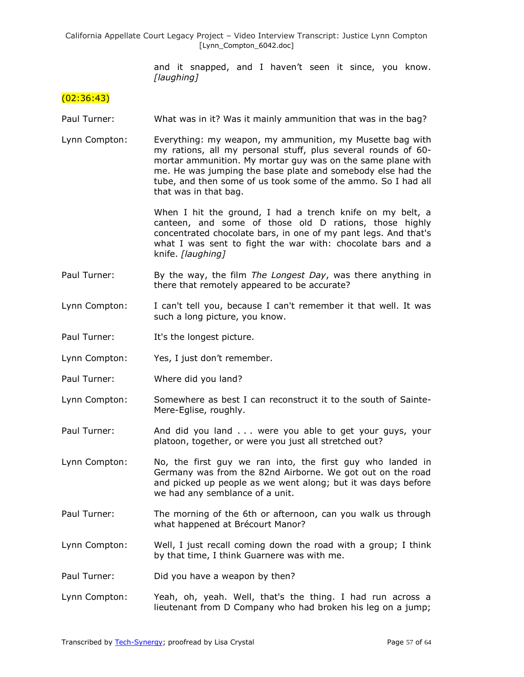> and it snapped, and I haven't seen it since, you know. *[laughing]*

## $(02:36:43)$

- Paul Turner: What was in it? Was it mainly ammunition that was in the bag?
- Lynn Compton: Everything: my weapon, my ammunition, my Musette bag with my rations, all my personal stuff, plus several rounds of 60 mortar ammunition. My mortar guy was on the same plane with me. He was jumping the base plate and somebody else had the tube, and then some of us took some of the ammo. So I had all that was in that bag.

When I hit the ground, I had a trench knife on my belt, a canteen, and some of those old D rations, those highly concentrated chocolate bars, in one of my pant legs. And that's what I was sent to fight the war with: chocolate bars and a knife. *[laughing]*

- Paul Turner: By the way, the film *The Longest Day*, was there anything in there that remotely appeared to be accurate?
- Lynn Compton: I can't tell you, because I can't remember it that well. It was such a long picture, you know.
- Paul Turner: It's the longest picture.
- Lynn Compton: Yes, I just don't remember.
- Paul Turner: Where did you land?
- Lynn Compton: Somewhere as best I can reconstruct it to the south of Sainte-Mere-Eglise, roughly.
- Paul Turner: And did you land . . . were you able to get your guys, your platoon, together, or were you just all stretched out?
- Lynn Compton: No, the first guy we ran into, the first guy who landed in Germany was from the 82nd Airborne. We got out on the road and picked up people as we went along; but it was days before we had any semblance of a unit.
- Paul Turner: The morning of the 6th or afternoon, can you walk us through what happened at Brécourt Manor?
- Lynn Compton: Well, I just recall coming down the road with a group; I think by that time, I think Guarnere was with me.
- Paul Turner: Did you have a weapon by then?
- Lynn Compton: Yeah, oh, yeah. Well, that's the thing. I had run across a lieutenant from D Company who had broken his leg on a jump;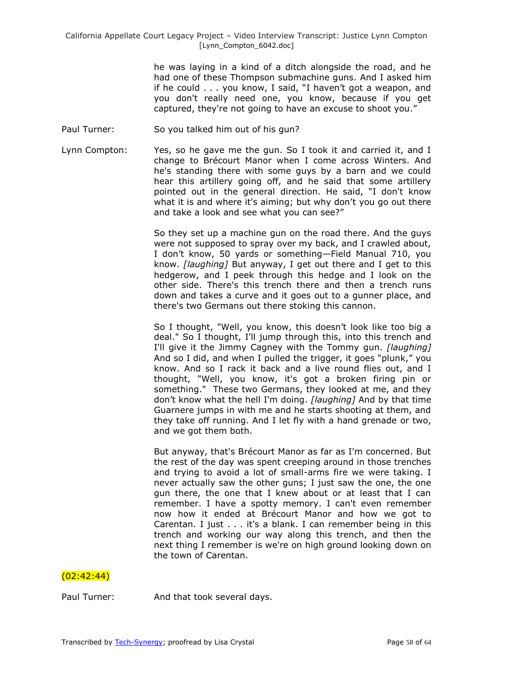he was laying in a kind of a ditch alongside the road, and he had one of these Thompson submachine guns. And I asked him if he could  $\ldots$  you know, I said, "I haven't got a weapon, and you don't really need one, you know, because if you get captured, they're not going to have an excuse to shoot you."

- Paul Turner: So you talked him out of his gun?
- Lynn Compton: Yes, so he gave me the gun. So I took it and carried it, and I change to Brécourt Manor when I come across Winters. And he's standing there with some guys by a barn and we could hear this artillery going off, and he said that some artillery pointed out in the general direction. He said, "I don't know what it is and where it's aiming; but why don't you go out there and take a look and see what you can see?"

So they set up a machine gun on the road there. And the guys were not supposed to spray over my back, and I crawled about, I don't know, 50 yards or something—Field Manual 710, you know. *[laughing]* But anyway, I get out there and I get to this hedgerow, and I peek through this hedge and I look on the other side. There's this trench there and then a trench runs down and takes a curve and it goes out to a gunner place, and there's two Germans out there stoking this cannon.

So I thought, "Well, you know, this doesn't look like too big a deal." So I thought, I'll jump through this, into this trench and I'll give it the Jimmy Cagney with the Tommy gun. *[laughing]* And so I did, and when I pulled the trigger, it goes "plunk," you know. And so I rack it back and a live round flies out, and I thought, "Well, you know, it's got a broken firing pin or something." These two Germans, they looked at me, and they don't know what the hell I'm doing. *[laughing]* And by that time Guarnere jumps in with me and he starts shooting at them, and they take off running. And I let fly with a hand grenade or two, and we got them both.

But anyway, that's Brécourt Manor as far as I'm concerned. But the rest of the day was spent creeping around in those trenches and trying to avoid a lot of small-arms fire we were taking. I never actually saw the other guns; I just saw the one, the one gun there, the one that I knew about or at least that I can remember. I have a spotty memory. I can't even remember now how it ended at Brécourt Manor and how we got to Carentan. I just . . . it's a blank. I can remember being in this trench and working our way along this trench, and then the next thing I remember is we're on high ground looking down on the town of Carentan.

## $(02:42:44)$

Paul Turner: And that took several days.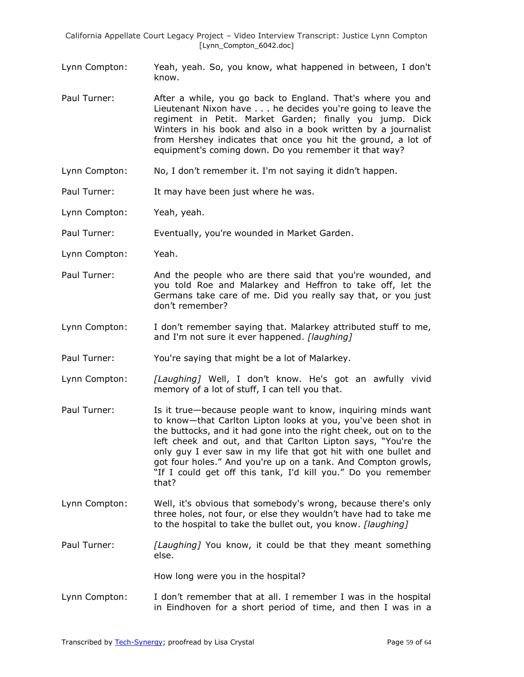- Lynn Compton: Yeah, yeah. So, you know, what happened in between, I don't know.
- Paul Turner: After a while, you go back to England. That's where you and Lieutenant Nixon have . . . he decides you're going to leave the regiment in Petit. Market Garden; finally you jump. Dick Winters in his book and also in a book written by a journalist from Hershey indicates that once you hit the ground, a lot of equipment's coming down. Do you remember it that way?
- Lynn Compton: No, I don't remember it. I'm not saying it didn't happen.
- Paul Turner: It may have been just where he was.
- Lynn Compton: Yeah, yeah.

Paul Turner: Eventually, you're wounded in Market Garden.

- Lynn Compton: Yeah.
- Paul Turner: And the people who are there said that you're wounded, and you told Roe and Malarkey and Heffron to take off, let the Germans take care of me. Did you really say that, or you just don't remember?
- Lynn Compton: I don't remember saying that. Malarkey attributed stuff to me, and I'm not sure it ever happened. *[laughing]*
- Paul Turner: You're saying that might be a lot of Malarkey.
- Lynn Compton: *[Laughing]* Well, I don't know. He's got an awfully vivid memory of a lot of stuff, I can tell you that.
- Paul Turner: Is it true—because people want to know, inquiring minds want to know—that Carlton Lipton looks at you, you've been shot in the buttocks, and it had gone into the right cheek, out on to the left cheek and out, and that Carlton Lipton says, "You're the only guy I ever saw in my life that got hit with one bullet and got four holes." And you're up on a tank. And Compton growls, "If I could get off this tank, I'd kill you." Do you remember that?
- Lynn Compton: Well, it's obvious that somebody's wrong, because there's only three holes, not four, or else they wouldn't have had to take me to the hospital to take the bullet out, you know. *[laughing]*
- Paul Turner: *[Laughing]* You know, it could be that they meant something else.

How long were you in the hospital?

Lynn Compton: I don't remember that at all. I remember I was in the hospital in Eindhoven for a short period of time, and then I was in a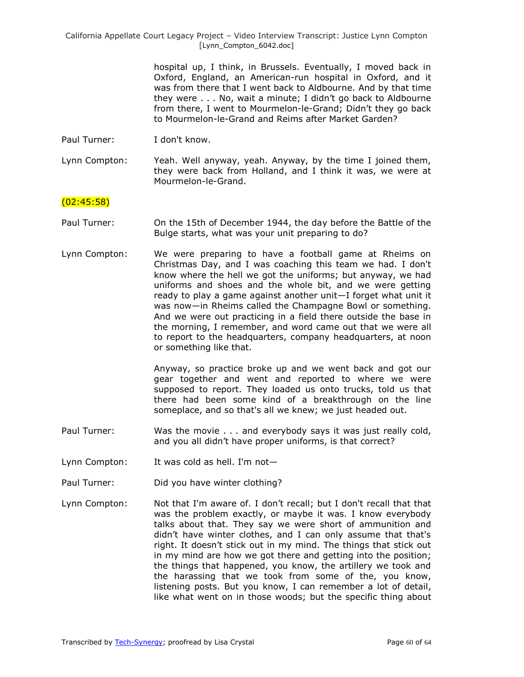> hospital up, I think, in Brussels. Eventually, I moved back in Oxford, England, an American-run hospital in Oxford, and it was from there that I went back to Aldbourne. And by that time they were . . . No, wait a minute; I didn't go back to Aldbourne from there, I went to Mourmelon-le-Grand; Didn't they go back to Mourmelon-le-Grand and Reims after Market Garden?

Paul Turner: I don't know.

Lynn Compton: Yeah. Well anyway, yeah. Anyway, by the time I joined them, they were back from Holland, and I think it was, we were at Mourmelon-le-Grand.

## $(02:45:58)$

- Paul Turner: On the 15th of December 1944, the day before the Battle of the Bulge starts, what was your unit preparing to do?
- Lynn Compton: We were preparing to have a football game at Rheims on Christmas Day, and I was coaching this team we had. I don't know where the hell we got the uniforms; but anyway, we had uniforms and shoes and the whole bit, and we were getting ready to play a game against another unit—I forget what unit it was now—in Rheims called the Champagne Bowl or something. And we were out practicing in a field there outside the base in the morning, I remember, and word came out that we were all to report to the headquarters, company headquarters, at noon or something like that.

Anyway, so practice broke up and we went back and got our gear together and went and reported to where we were supposed to report. They loaded us onto trucks, told us that there had been some kind of a breakthrough on the line someplace, and so that's all we knew; we just headed out.

- Paul Turner: Was the movie . . . and everybody says it was just really cold, and you all didn't have proper uniforms, is that correct?
- Lynn Compton: It was cold as hell. I'm not—
- Paul Turner: Did you have winter clothing?
- Lynn Compton: Not that I'm aware of. I don't recall; but I don't recall that that was the problem exactly, or maybe it was. I know everybody talks about that. They say we were short of ammunition and didn't have winter clothes, and I can only assume that that's right. It doesn't stick out in my mind. The things that stick out in my mind are how we got there and getting into the position; the things that happened, you know, the artillery we took and the harassing that we took from some of the, you know, listening posts. But you know, I can remember a lot of detail, like what went on in those woods; but the specific thing about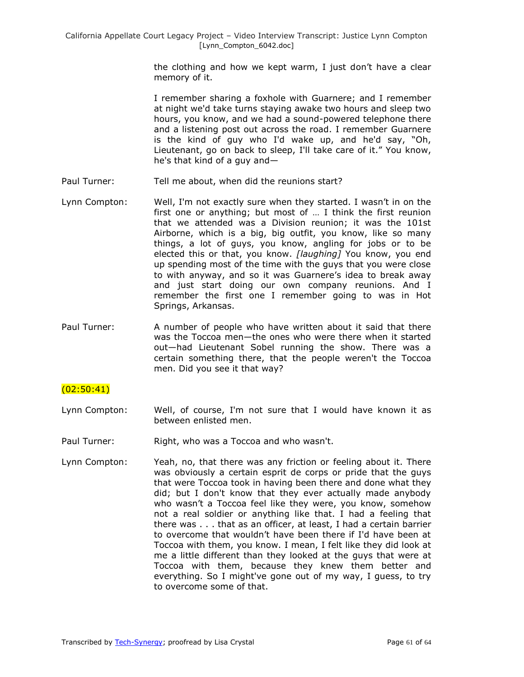the clothing and how we kept warm, I just don't have a clear memory of it.

I remember sharing a foxhole with Guarnere; and I remember at night we'd take turns staying awake two hours and sleep two hours, you know, and we had a sound-powered telephone there and a listening post out across the road. I remember Guarnere is the kind of guy who I'd wake up, and he'd say, "Oh, Lieutenant, go on back to sleep, I'll take care of it." You know, he's that kind of a guy and—

- Paul Turner: Tell me about, when did the reunions start?
- Lynn Compton: Well, I'm not exactly sure when they started. I wasn't in on the first one or anything; but most of … I think the first reunion that we attended was a Division reunion; it was the 101st Airborne, which is a big, big outfit, you know, like so many things, a lot of guys, you know, angling for jobs or to be elected this or that, you know. *[laughing]* You know, you end up spending most of the time with the guys that you were close to with anyway, and so it was Guarnere's idea to break away and just start doing our own company reunions. And I remember the first one I remember going to was in Hot Springs, Arkansas.
- Paul Turner: A number of people who have written about it said that there was the Toccoa men—the ones who were there when it started out—had Lieutenant Sobel running the show. There was a certain something there, that the people weren't the Toccoa men. Did you see it that way?

# (02:50:41)

- Lynn Compton: Well, of course, I'm not sure that I would have known it as between enlisted men.
- Paul Turner: Right, who was a Toccoa and who wasn't.
- Lynn Compton: Yeah, no, that there was any friction or feeling about it. There was obviously a certain esprit de corps or pride that the guys that were Toccoa took in having been there and done what they did; but I don't know that they ever actually made anybody who wasn't a Toccoa feel like they were, you know, somehow not a real soldier or anything like that. I had a feeling that there was . . . that as an officer, at least, I had a certain barrier to overcome that wouldn't have been there if I'd have been at Toccoa with them, you know. I mean, I felt like they did look at me a little different than they looked at the guys that were at Toccoa with them, because they knew them better and everything. So I might've gone out of my way, I guess, to try to overcome some of that.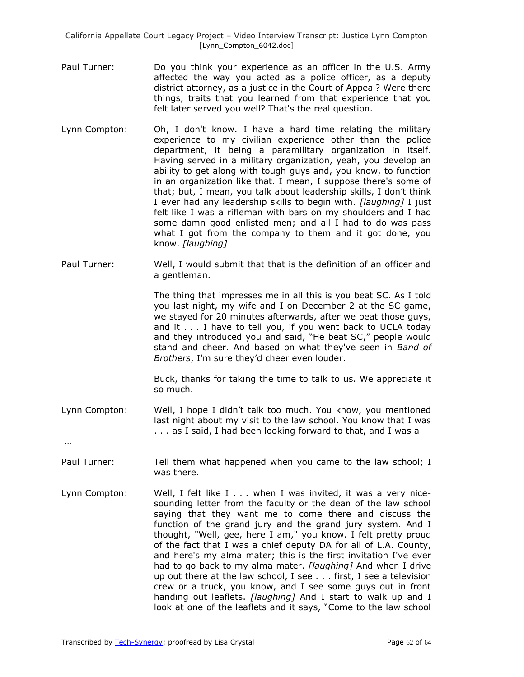- Paul Turner: Do you think your experience as an officer in the U.S. Army affected the way you acted as a police officer, as a deputy district attorney, as a justice in the Court of Appeal? Were there things, traits that you learned from that experience that you felt later served you well? That's the real question.
- Lynn Compton: Oh, I don't know. I have a hard time relating the military experience to my civilian experience other than the police department, it being a paramilitary organization in itself. Having served in a military organization, yeah, you develop an ability to get along with tough guys and, you know, to function in an organization like that. I mean, I suppose there's some of that; but, I mean, you talk about leadership skills, I don't think I ever had any leadership skills to begin with. *[laughing]* I just felt like I was a rifleman with bars on my shoulders and I had some damn good enlisted men; and all I had to do was pass what I got from the company to them and it got done, you know. *[laughing]*
- Paul Turner: Well, I would submit that that is the definition of an officer and a gentleman.

The thing that impresses me in all this is you beat SC. As I told you last night, my wife and I on December 2 at the SC game, we stayed for 20 minutes afterwards, after we beat those guys, and it . . . I have to tell you, if you went back to UCLA today and they introduced you and said, "He beat SC," people would stand and cheer. And based on what they've seen in *Band of Brothers*, I'm sure they'd cheer even louder.

Buck, thanks for taking the time to talk to us. We appreciate it so much.

Lynn Compton: Well, I hope I didn't talk too much. You know, you mentioned last night about my visit to the law school. You know that I was . . . as I said, I had been looking forward to that, and I was a—

…

- Paul Turner: Tell them what happened when you came to the law school; I was there.
- Lynn Compton: Well, I felt like I . . . when I was invited, it was a very nicesounding letter from the faculty or the dean of the law school saying that they want me to come there and discuss the function of the grand jury and the grand jury system. And I thought, "Well, gee, here I am," you know. I felt pretty proud of the fact that I was a chief deputy DA for all of L.A. County, and here's my alma mater; this is the first invitation I've ever had to go back to my alma mater. *[laughing]* And when I drive up out there at the law school, I see . . . first, I see a television crew or a truck, you know, and I see some guys out in front handing out leaflets. *[laughing]* And I start to walk up and I look at one of the leaflets and it says, "Come to the law school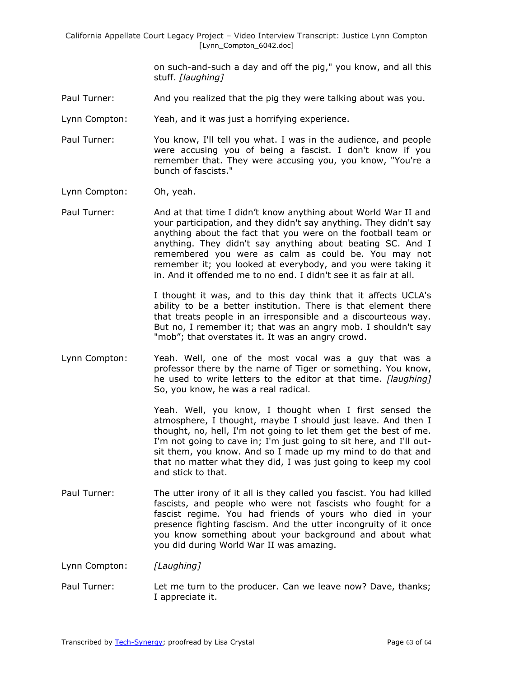> on such-and-such a day and off the pig," you know, and all this stuff. *[laughing]*

- Paul Turner: And you realized that the pig they were talking about was you.
- Lynn Compton: Yeah, and it was just a horrifying experience.
- Paul Turner: You know, I'll tell you what. I was in the audience, and people were accusing you of being a fascist. I don't know if you remember that. They were accusing you, you know, "You're a bunch of fascists."
- Lynn Compton: Oh, yeah.
- Paul Turner: And at that time I didn't know anything about World War II and your participation, and they didn't say anything. They didn't say anything about the fact that you were on the football team or anything. They didn't say anything about beating SC. And I remembered you were as calm as could be. You may not remember it; you looked at everybody, and you were taking it in. And it offended me to no end. I didn't see it as fair at all.

I thought it was, and to this day think that it affects UCLA's ability to be a better institution. There is that element there that treats people in an irresponsible and a discourteous way. But no, I remember it; that was an angry mob. I shouldn't say "mob"; that overstates it. It was an angry crowd.

Lynn Compton: Yeah. Well, one of the most vocal was a guy that was a professor there by the name of Tiger or something. You know, he used to write letters to the editor at that time. *[laughing]* So, you know, he was a real radical.

> Yeah. Well, you know, I thought when I first sensed the atmosphere, I thought, maybe I should just leave. And then I thought, no, hell, I'm not going to let them get the best of me. I'm not going to cave in; I'm just going to sit here, and I'll outsit them, you know. And so I made up my mind to do that and that no matter what they did, I was just going to keep my cool and stick to that.

- Paul Turner: The utter irony of it all is they called you fascist. You had killed fascists, and people who were not fascists who fought for a fascist regime. You had friends of yours who died in your presence fighting fascism. And the utter incongruity of it once you know something about your background and about what you did during World War II was amazing.
- Lynn Compton: *[Laughing]*
- Paul Turner: Let me turn to the producer. Can we leave now? Dave, thanks; I appreciate it.